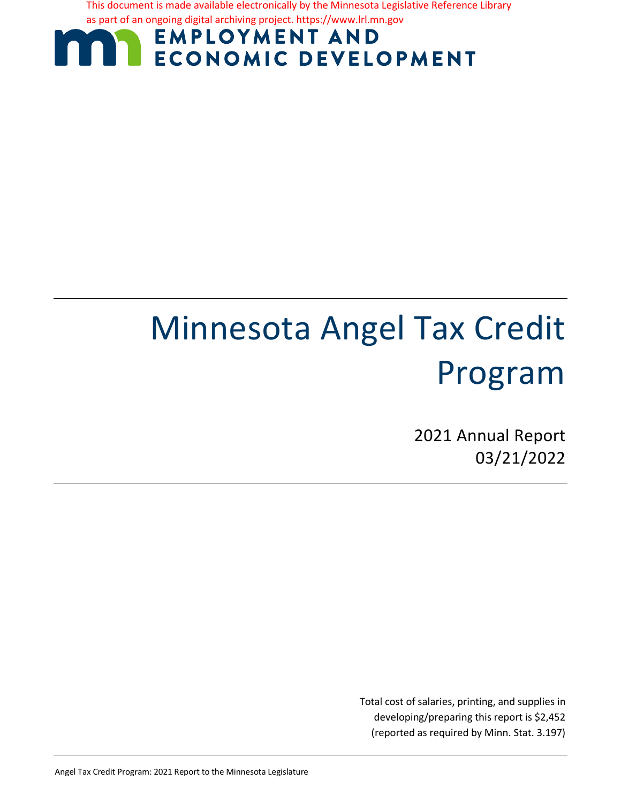This document is made available electronically by the Minnesota Legislative Reference Library as part of an ongoing digital archiving project. https://www.lrl.mn.gov

# **EMPLOYMENT AND ECONOMIC DEVELOPMENT**

# Minnesota Angel Tax Credit Program

2021 Annual Report 03/21/2022

Total cost of salaries, printing, and supplies in developing/preparing this report is \$2,452 (reported as required by Minn. Stat. 3.197)

Angel Tax Credit Program: 2021 Report to the Minnesota Legislature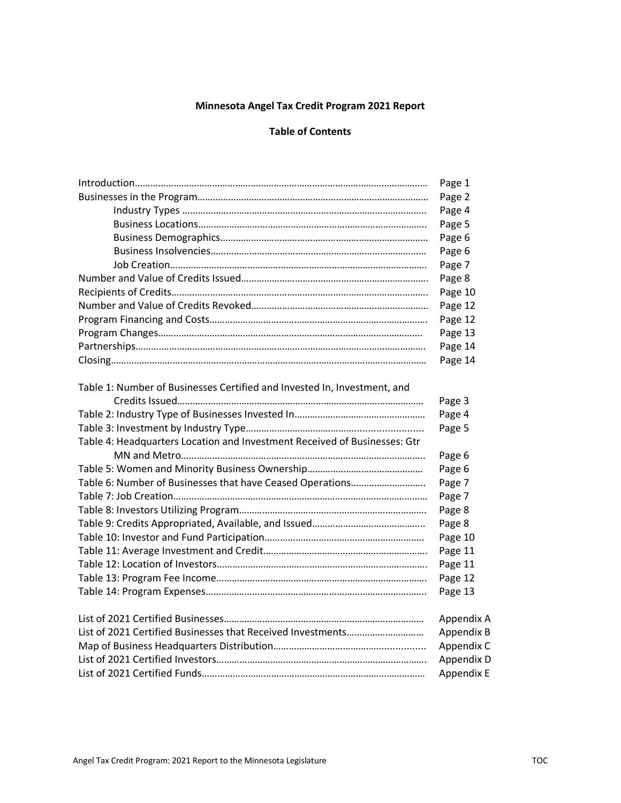#### **Minnesota Angel Tax Credit Program 2021 Report**

#### **Table of Contents**

|                                                                           | Page 1            |
|---------------------------------------------------------------------------|-------------------|
|                                                                           | Page 2            |
|                                                                           | Page 4            |
|                                                                           | Page 5            |
|                                                                           | Page 6            |
|                                                                           | Page 6            |
|                                                                           | Page 7            |
|                                                                           | Page 8            |
|                                                                           | Page 10           |
|                                                                           | Page 12           |
|                                                                           | Page 12           |
|                                                                           | Page 13           |
|                                                                           | Page 14           |
|                                                                           | Page 14           |
| Table 1: Number of Businesses Certified and Invested In, Investment, and  |                   |
|                                                                           | Page 3            |
|                                                                           | Page 4            |
|                                                                           | Page 5            |
| Table 4: Headquarters Location and Investment Received of Businesses: Gtr |                   |
|                                                                           | Page 6            |
|                                                                           | Page 6            |
| Table 6: Number of Businesses that have Ceased Operations                 | Page 7            |
|                                                                           | Page 7            |
|                                                                           | Page 8            |
|                                                                           | Page 8            |
|                                                                           | Page 10           |
|                                                                           | Page 11           |
|                                                                           | Page 11           |
|                                                                           | Page 12           |
|                                                                           | Page 13           |
|                                                                           | Appendix A        |
|                                                                           | Appendix B        |
|                                                                           | Appendix C        |
|                                                                           | Appendix D        |
|                                                                           | <b>Appendix E</b> |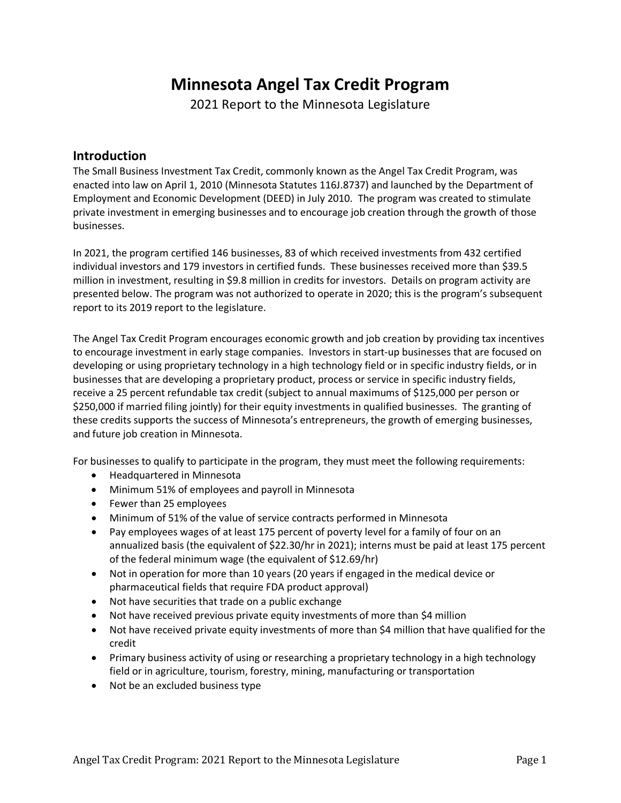## **Minnesota Angel Tax Credit Program**

2021 Report to the Minnesota Legislature

#### **Introduction**

The Small Business Investment Tax Credit, commonly known as the Angel Tax Credit Program, was enacted into law on April 1, 2010 (Minnesota Statutes 116J.8737) and launched by the Department of Employment and Economic Development (DEED) in July 2010. The program was created to stimulate private investment in emerging businesses and to encourage job creation through the growth of those businesses.

In 2021, the program certified 146 businesses, 83 of which received investments from 432 certified individual investors and 179 investors in certified funds. These businesses received more than \$39.5 million in investment, resulting in \$9.8 million in credits for investors. Details on program activity are presented below. The program was not authorized to operate in 2020; this is the program's subsequent report to its 2019 report to the legislature.

The Angel Tax Credit Program encourages economic growth and job creation by providing tax incentives to encourage investment in early stage companies. Investors in start-up businesses that are focused on developing or using proprietary technology in a high technology field or in specific industry fields, or in businesses that are developing a proprietary product, process or service in specific industry fields, receive a 25 percent refundable tax credit (subject to annual maximums of \$125,000 per person or \$250,000 if married filing jointly) for their equity investments in qualified businesses. The granting of these credits supports the success of Minnesota's entrepreneurs, the growth of emerging businesses, and future job creation in Minnesota.

For businesses to qualify to participate in the program, they must meet the following requirements:

- Headquartered in Minnesota
- Minimum 51% of employees and payroll in Minnesota
- Fewer than 25 employees
- Minimum of 51% of the value of service contracts performed in Minnesota
- Pay employees wages of at least 175 percent of poverty level for a family of four on an annualized basis (the equivalent of \$22.30/hr in 2021); interns must be paid at least 175 percent of the federal minimum wage (the equivalent of \$12.69/hr)
- Not in operation for more than 10 years (20 years if engaged in the medical device or pharmaceutical fields that require FDA product approval)
- Not have securities that trade on a public exchange
- Not have received previous private equity investments of more than \$4 million
- Not have received private equity investments of more than \$4 million that have qualified for the credit
- Primary business activity of using or researching a proprietary technology in a high technology field or in agriculture, tourism, forestry, mining, manufacturing or transportation
- Not be an excluded business type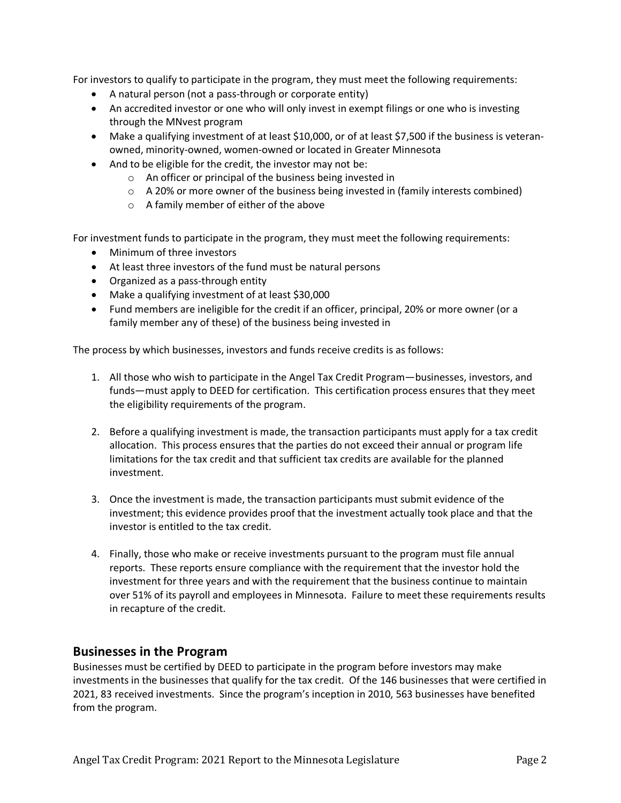For investors to qualify to participate in the program, they must meet the following requirements:

- A natural person (not a pass-through or corporate entity)
- An accredited investor or one who will only invest in exempt filings or one who is investing through the MNvest program
- Make a qualifying investment of at least \$10,000, or of at least \$7,500 if the business is veteranowned, minority-owned, women-owned or located in Greater Minnesota
- And to be eligible for the credit, the investor may not be:
	- o An officer or principal of the business being invested in
	- $\circ$  A 20% or more owner of the business being invested in (family interests combined)
	- o A family member of either of the above

For investment funds to participate in the program, they must meet the following requirements:

- Minimum of three investors
- At least three investors of the fund must be natural persons
- Organized as a pass-through entity
- Make a qualifying investment of at least \$30,000
- Fund members are ineligible for the credit if an officer, principal, 20% or more owner (or a family member any of these) of the business being invested in

The process by which businesses, investors and funds receive credits is as follows:

- 1. All those who wish to participate in the Angel Tax Credit Program—businesses, investors, and funds—must apply to DEED for certification. This certification process ensures that they meet the eligibility requirements of the program.
- 2. Before a qualifying investment is made, the transaction participants must apply for a tax credit allocation. This process ensures that the parties do not exceed their annual or program life limitations for the tax credit and that sufficient tax credits are available for the planned investment.
- 3. Once the investment is made, the transaction participants must submit evidence of the investment; this evidence provides proof that the investment actually took place and that the investor is entitled to the tax credit.
- 4. Finally, those who make or receive investments pursuant to the program must file annual reports. These reports ensure compliance with the requirement that the investor hold the investment for three years and with the requirement that the business continue to maintain over 51% of its payroll and employees in Minnesota. Failure to meet these requirements results in recapture of the credit.

#### **Businesses in the Program**

Businesses must be certified by DEED to participate in the program before investors may make investments in the businesses that qualify for the tax credit. Of the 146 businesses that were certified in 2021, 83 received investments. Since the program's inception in 2010, 563 businesses have benefited from the program.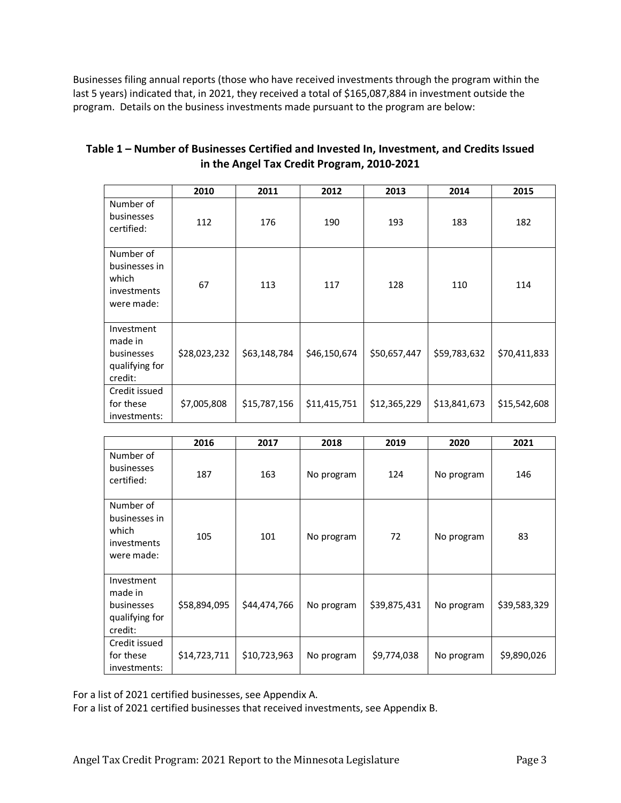Businesses filing annual reports (those who have received investments through the program within the last 5 years) indicated that, in 2021, they received a total of \$165,087,884 in investment outside the program. Details on the business investments made pursuant to the program are below:

|                                                                  | 2010         | 2011         | 2012         | 2013         | 2014         | 2015         |
|------------------------------------------------------------------|--------------|--------------|--------------|--------------|--------------|--------------|
| Number of<br>businesses<br>certified:                            | 112          | 176          | 190          | 193          | 183          | 182          |
| Number of<br>businesses in<br>which<br>investments<br>were made: | 67           | 113          | 117          | 128          | 110          | 114          |
| Investment<br>made in<br>businesses<br>qualifying for<br>credit: | \$28,023,232 | \$63,148,784 | \$46,150,674 | \$50,657,447 | \$59,783,632 | \$70,411,833 |
| Credit issued<br>for these<br>investments:                       | \$7,005,808  | \$15,787,156 | \$11,415,751 | \$12,365,229 | \$13,841,673 | \$15,542,608 |

| Table 1 – Number of Businesses Certified and Invested In, Investment, and Credits Issued |
|------------------------------------------------------------------------------------------|
| in the Angel Tax Credit Program, 2010-2021                                               |

|                                                                  | 2016         | 2017         | 2018       | 2019         | 2020       | 2021         |
|------------------------------------------------------------------|--------------|--------------|------------|--------------|------------|--------------|
| Number of<br>businesses<br>certified:                            | 187          | 163          | No program | 124          | No program | 146          |
| Number of<br>businesses in<br>which<br>investments<br>were made: | 105          | 101          | No program | 72           | No program | 83           |
| Investment<br>made in<br>businesses<br>qualifying for<br>credit: | \$58,894,095 | \$44,474,766 | No program | \$39,875,431 | No program | \$39,583,329 |
| Credit issued<br>for these<br>investments:                       | \$14,723,711 | \$10,723,963 | No program | \$9,774,038  | No program | \$9,890,026  |

For a list of 2021 certified businesses, see Appendix A.

For a list of 2021 certified businesses that received investments, see Appendix B.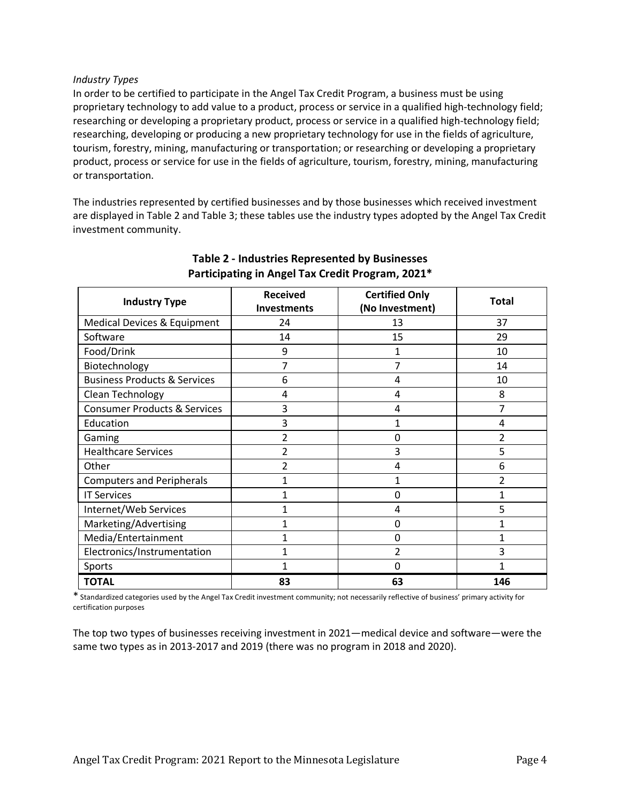#### *Industry Types*

In order to be certified to participate in the Angel Tax Credit Program, a business must be using proprietary technology to add value to a product, process or service in a qualified high-technology field; researching or developing a proprietary product, process or service in a qualified high-technology field; researching, developing or producing a new proprietary technology for use in the fields of agriculture, tourism, forestry, mining, manufacturing or transportation; or researching or developing a proprietary product, process or service for use in the fields of agriculture, tourism, forestry, mining, manufacturing or transportation.

The industries represented by certified businesses and by those businesses which received investment are displayed in Table 2 and Table 3; these tables use the industry types adopted by the Angel Tax Credit investment community.

| <b>Industry Type</b>                    | <b>Received</b><br><b>Investments</b> | <b>Certified Only</b><br>(No Investment) | <b>Total</b> |
|-----------------------------------------|---------------------------------------|------------------------------------------|--------------|
| Medical Devices & Equipment             | 24                                    | 13                                       | 37           |
| Software                                | 14                                    | 15                                       | 29           |
| Food/Drink                              | 9                                     |                                          | 10           |
| Biotechnology                           | 7                                     | 7                                        | 14           |
| <b>Business Products &amp; Services</b> | 6                                     | 4                                        | 10           |
| Clean Technology                        | 4                                     | 4                                        | 8            |
| <b>Consumer Products &amp; Services</b> | 3                                     | 4                                        | 7            |
| Education                               | 3                                     | 1                                        | 4            |
| Gaming                                  | $\overline{2}$                        | $\Omega$                                 | 2            |
| <b>Healthcare Services</b>              | $\overline{2}$                        | 3                                        | 5            |
| Other                                   | 2                                     | 4                                        | 6            |
| <b>Computers and Peripherals</b>        | 1                                     | 1                                        | 2            |
| <b>IT Services</b>                      | 1                                     | 0                                        | 1            |
| Internet/Web Services                   |                                       | 4                                        | 5            |
| Marketing/Advertising                   | 1                                     | 0                                        | 1            |
| Media/Entertainment                     | 1                                     | 0                                        | 1            |
| Electronics/Instrumentation             | 1                                     | $\overline{2}$                           | 3            |
| Sports                                  |                                       | $\Omega$                                 | 1            |
| <b>TOTAL</b>                            | 83                                    | 63                                       | 146          |

#### **Table 2 - Industries Represented by Businesses Participating in Angel Tax Credit Program, 2021\***

\* Standardized categories used by the Angel Tax Credit investment community; not necessarily reflective of business' primary activity for certification purposes

The top two types of businesses receiving investment in 2021—medical device and software—were the same two types as in 2013-2017 and 2019 (there was no program in 2018 and 2020).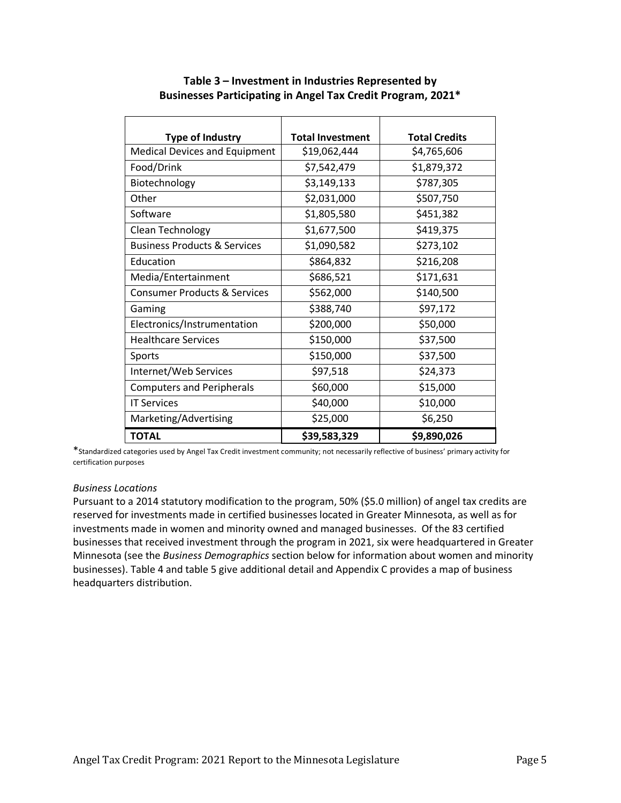| <b>Type of Industry</b>                 | <b>Total Investment</b> | <b>Total Credits</b> |
|-----------------------------------------|-------------------------|----------------------|
| <b>Medical Devices and Equipment</b>    | \$19,062,444            | \$4,765,606          |
| Food/Drink                              | \$7,542,479             | \$1,879,372          |
| Biotechnology                           | \$3,149,133             | \$787,305            |
| Other                                   | \$2,031,000             | \$507,750            |
| Software                                | \$1,805,580             | \$451,382            |
| Clean Technology                        | \$1,677,500             | \$419,375            |
| <b>Business Products &amp; Services</b> | \$1,090,582             | \$273,102            |
| Education                               | \$864,832               | \$216,208            |
| Media/Entertainment                     | \$686,521               | \$171,631            |
| <b>Consumer Products &amp; Services</b> | \$562,000               | \$140,500            |
| Gaming                                  | \$388,740               | \$97,172             |
| Electronics/Instrumentation             | \$200,000               | \$50,000             |
| <b>Healthcare Services</b>              | \$150,000               | \$37,500             |
| Sports                                  | \$150,000               | \$37,500             |
| Internet/Web Services                   | \$97,518                | \$24,373             |
| <b>Computers and Peripherals</b>        | \$60,000                | \$15,000             |
| <b>IT Services</b>                      | \$40,000                | \$10,000             |
| Marketing/Advertising                   | \$25,000                | \$6,250              |
| <b>TOTAL</b>                            | \$39,583,329            | \$9,890,026          |

#### **Table 3 – Investment in Industries Represented by Businesses Participating in Angel Tax Credit Program, 2021\***

\*Standardized categories used by Angel Tax Credit investment community; not necessarily reflective of business' primary activity for certification purposes

#### *Business Locations*

Pursuant to a 2014 statutory modification to the program, 50% (\$5.0 million) of angel tax credits are reserved for investments made in certified businesses located in Greater Minnesota, as well as for investments made in women and minority owned and managed businesses. Of the 83 certified businesses that received investment through the program in 2021, six were headquartered in Greater Minnesota (see the *Business Demographics* section below for information about women and minority businesses). Table 4 and table 5 give additional detail and Appendix C provides a map of business headquarters distribution.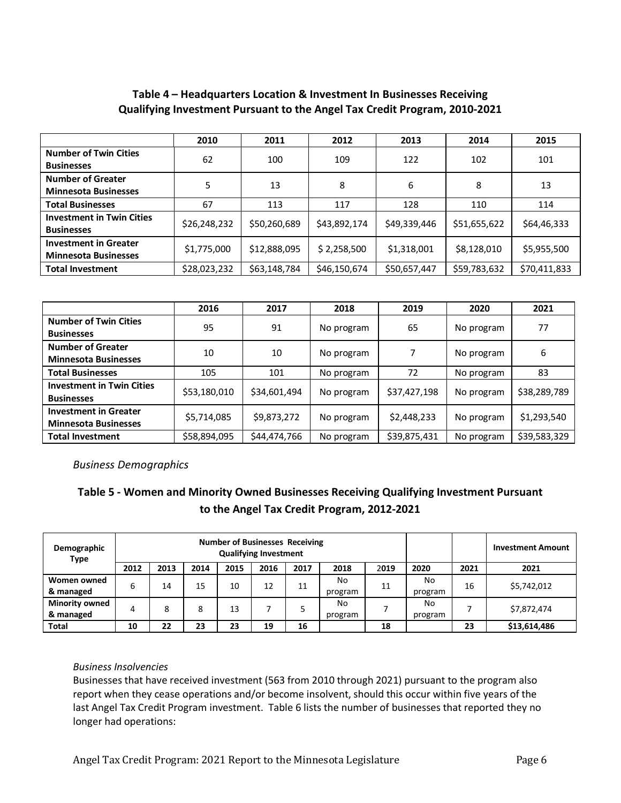#### **Table 4 – Headquarters Location & Investment In Businesses Receiving Qualifying Investment Pursuant to the Angel Tax Credit Program, 2010-2021**

|                                  | 2010         | 2011         | 2012         | 2013         | 2014         | 2015         |  |
|----------------------------------|--------------|--------------|--------------|--------------|--------------|--------------|--|
| <b>Number of Twin Cities</b>     | 62           | 100          | 109          | 122          | 102          | 101          |  |
| <b>Businesses</b>                |              |              |              |              |              |              |  |
| <b>Number of Greater</b>         | 5            | 13           | 8            | 6            | 8            | 13           |  |
| <b>Minnesota Businesses</b>      |              |              |              |              |              |              |  |
| <b>Total Businesses</b>          | 67           | 113          | 117          | 128          | 110          | 114          |  |
| <b>Investment in Twin Cities</b> | \$26,248,232 | \$50,260,689 | \$43,892,174 | \$49,339,446 | \$51,655,622 |              |  |
| <b>Businesses</b>                |              |              |              |              |              | \$64,46,333  |  |
| <b>Investment in Greater</b>     |              |              |              |              |              |              |  |
| <b>Minnesota Businesses</b>      | \$1,775,000  | \$12,888,095 | \$2,258,500  | \$1,318,001  | \$8,128,010  | \$5,955,500  |  |
| <b>Total Investment</b>          | \$28,023,232 | \$63,148,784 | \$46,150,674 | \$50,657,447 | \$59,783,632 | \$70,411,833 |  |

|                                                             | 2016<br>2018<br>2017<br>2019 |                       |            | 2020         | 2021       |              |
|-------------------------------------------------------------|------------------------------|-----------------------|------------|--------------|------------|--------------|
| <b>Number of Twin Cities</b><br><b>Businesses</b>           | 95                           | 91                    | No program | 65           | No program | 77           |
| <b>Number of Greater</b><br><b>Minnesota Businesses</b>     | 10                           | 10<br>No program<br>7 |            | No program   | 6          |              |
| <b>Total Businesses</b>                                     | 105                          | 101                   | No program | 72           | No program | 83           |
| <b>Investment in Twin Cities</b><br><b>Businesses</b>       | \$53,180,010                 | \$34,601,494          | No program | \$37,427,198 | No program | \$38,289,789 |
| <b>Investment in Greater</b><br><b>Minnesota Businesses</b> | \$5,714,085                  | \$9,873,272           | No program | \$2,448,233  | No program | \$1,293,540  |
| <b>Total Investment</b>                                     | \$58,894,095                 | \$44,474,766          | No program | \$39,875,431 | No program | \$39,583,329 |

*Business Demographics*

#### **Table 5 - Women and Minority Owned Businesses Receiving Qualifying Investment Pursuant to the Angel Tax Credit Program, 2012-2021**

| Demographic<br><b>Type</b> | <b>Number of Businesses Receiving</b><br><b>Qualifying Investment</b> |      |      |      |      |      |               |      |               |      | <b>Investment Amount</b> |
|----------------------------|-----------------------------------------------------------------------|------|------|------|------|------|---------------|------|---------------|------|--------------------------|
|                            | 2012                                                                  | 2013 | 2014 | 2015 | 2016 | 2017 | 2018          | 2019 | 2020          | 2021 | 2021                     |
| Women owned<br>& managed   | 6                                                                     | 14   | 15   | 10   | 12   | 11   | No            | 11   | No            | 16   | \$5,742,012              |
| <b>Minority owned</b>      |                                                                       |      |      |      |      |      | program<br>No |      | program<br>No |      |                          |
| & managed                  | 4                                                                     | 8    | 8    | 13   |      |      | program       |      | program       |      | \$7,872,474              |
| <b>Total</b>               | 10                                                                    | 22   | 23   | 23   | 19   | 16   |               | 18   |               | 23   | \$13,614,486             |

#### *Business Insolvencies*

Businesses that have received investment (563 from 2010 through 2021) pursuant to the program also report when they cease operations and/or become insolvent, should this occur within five years of the last Angel Tax Credit Program investment. Table 6 lists the number of businesses that reported they no longer had operations: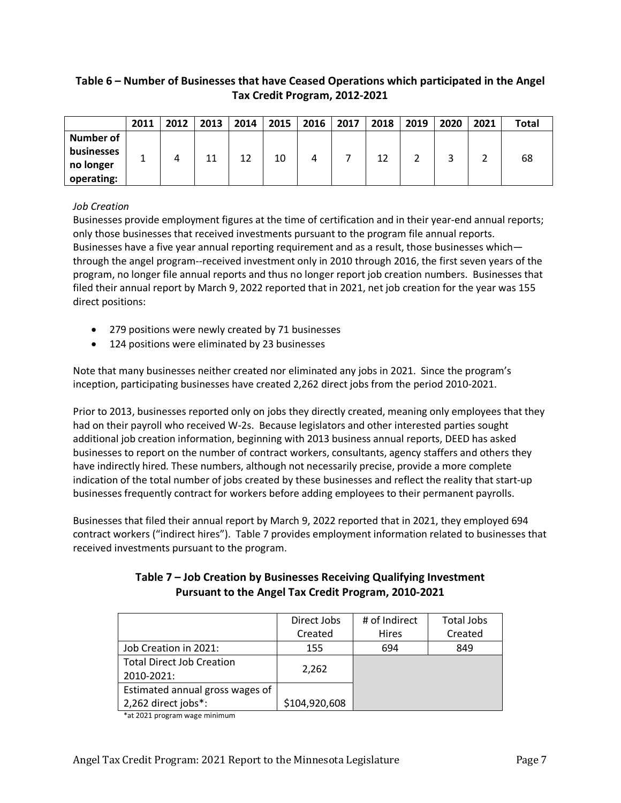#### **Table 6 – Number of Businesses that have Ceased Operations which participated in the Angel Tax Credit Program, 2012-2021**

|                                | 2011 | 2012 | 2013 | 2014 | 2015 | 2016 | 2017 | 2018 | 2019 | 2020 | 2021 | <b>Total</b> |
|--------------------------------|------|------|------|------|------|------|------|------|------|------|------|--------------|
| <b>Number of</b><br>businesses |      |      |      |      |      |      |      |      |      |      |      |              |
| no longer<br>operating:        |      |      | 11   | 12   | 10   |      |      | 12   |      |      |      | 68           |

#### *Job Creation*

Businesses provide employment figures at the time of certification and in their year-end annual reports; only those businesses that received investments pursuant to the program file annual reports. Businesses have a five year annual reporting requirement and as a result, those businesses which through the angel program--received investment only in 2010 through 2016, the first seven years of the program, no longer file annual reports and thus no longer report job creation numbers. Businesses that filed their annual report by March 9, 2022 reported that in 2021, net job creation for the year was 155 direct positions:

- 279 positions were newly created by 71 businesses
- 124 positions were eliminated by 23 businesses

Note that many businesses neither created nor eliminated any jobs in 2021. Since the program's inception, participating businesses have created 2,262 direct jobs from the period 2010-2021.

Prior to 2013, businesses reported only on jobs they directly created, meaning only employees that they had on their payroll who received W-2s. Because legislators and other interested parties sought additional job creation information, beginning with 2013 business annual reports, DEED has asked businesses to report on the number of contract workers, consultants, agency staffers and others they have indirectly hired. These numbers, although not necessarily precise, provide a more complete indication of the total number of jobs created by these businesses and reflect the reality that start-up businesses frequently contract for workers before adding employees to their permanent payrolls.

Businesses that filed their annual report by March 9, 2022 reported that in 2021, they employed 694 contract workers ("indirect hires"). Table 7 provides employment information related to businesses that received investments pursuant to the program.

|                                  | Direct Jobs   | # of Indirect | Total Jobs |
|----------------------------------|---------------|---------------|------------|
|                                  | Created       | <b>Hires</b>  | Created    |
| Job Creation in 2021:            | 155           | 694           | 849        |
| <b>Total Direct Job Creation</b> |               |               |            |
| 2010-2021:                       | 2,262         |               |            |
| Estimated annual gross wages of  |               |               |            |
| 2,262 direct jobs*:              | \$104,920,608 |               |            |

#### **Table 7 – Job Creation by Businesses Receiving Qualifying Investment Pursuant to the Angel Tax Credit Program, 2010-2021**

\*at 2021 program wage minimum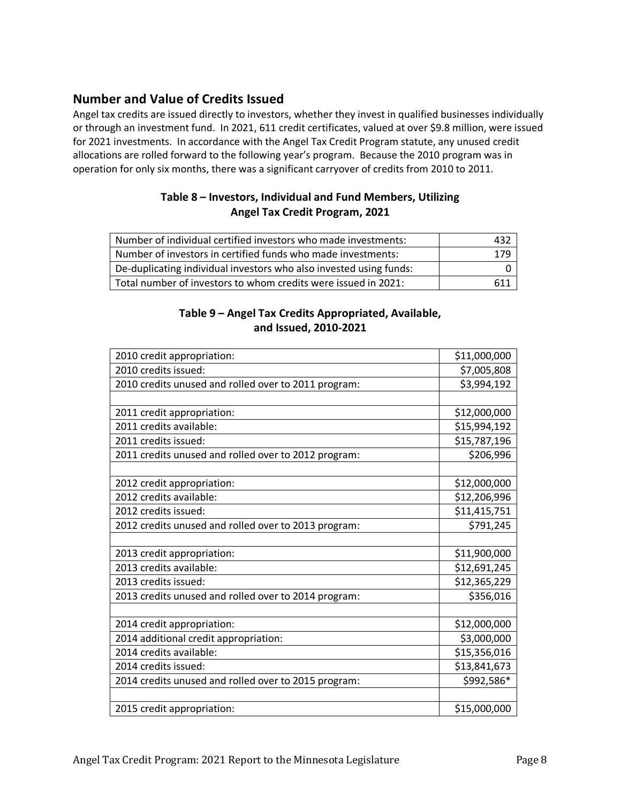#### **Number and Value of Credits Issued**

Angel tax credits are issued directly to investors, whether they invest in qualified businesses individually or through an investment fund. In 2021, 611 credit certificates, valued at over \$9.8 million, were issued for 2021 investments. In accordance with the Angel Tax Credit Program statute, any unused credit allocations are rolled forward to the following year's program. Because the 2010 program was in operation for only six months, there was a significant carryover of credits from 2010 to 2011.

#### **Table 8 – Investors, Individual and Fund Members, Utilizing Angel Tax Credit Program, 2021**

| Number of individual certified investors who made investments:     | 432 |
|--------------------------------------------------------------------|-----|
| Number of investors in certified funds who made investments:       | 179 |
| De-duplicating individual investors who also invested using funds: |     |
| Total number of investors to whom credits were issued in 2021:     | 611 |

#### **Table 9 – Angel Tax Credits Appropriated, Available, and Issued, 2010-2021**

| 2010 credit appropriation:                           | \$11,000,000 |
|------------------------------------------------------|--------------|
| 2010 credits issued:                                 | \$7,005,808  |
| 2010 credits unused and rolled over to 2011 program: | \$3,994,192  |
|                                                      |              |
| 2011 credit appropriation:                           | \$12,000,000 |
| 2011 credits available:                              | \$15,994,192 |
| 2011 credits issued:                                 | \$15,787,196 |
| 2011 credits unused and rolled over to 2012 program: | \$206,996    |
|                                                      |              |
| 2012 credit appropriation:                           | \$12,000,000 |
| 2012 credits available:                              | \$12,206,996 |
| 2012 credits issued:                                 | \$11,415,751 |
| 2012 credits unused and rolled over to 2013 program: | \$791,245    |
|                                                      |              |
| 2013 credit appropriation:                           | \$11,900,000 |
| 2013 credits available:                              | \$12,691,245 |
| 2013 credits issued:                                 | \$12,365,229 |
| 2013 credits unused and rolled over to 2014 program: | \$356,016    |
|                                                      |              |
| 2014 credit appropriation:                           | \$12,000,000 |
| 2014 additional credit appropriation:                | \$3,000,000  |
| 2014 credits available:                              | \$15,356,016 |
| 2014 credits issued:                                 | \$13,841,673 |
| 2014 credits unused and rolled over to 2015 program: | \$992,586*   |
|                                                      |              |
| 2015 credit appropriation:                           | \$15,000,000 |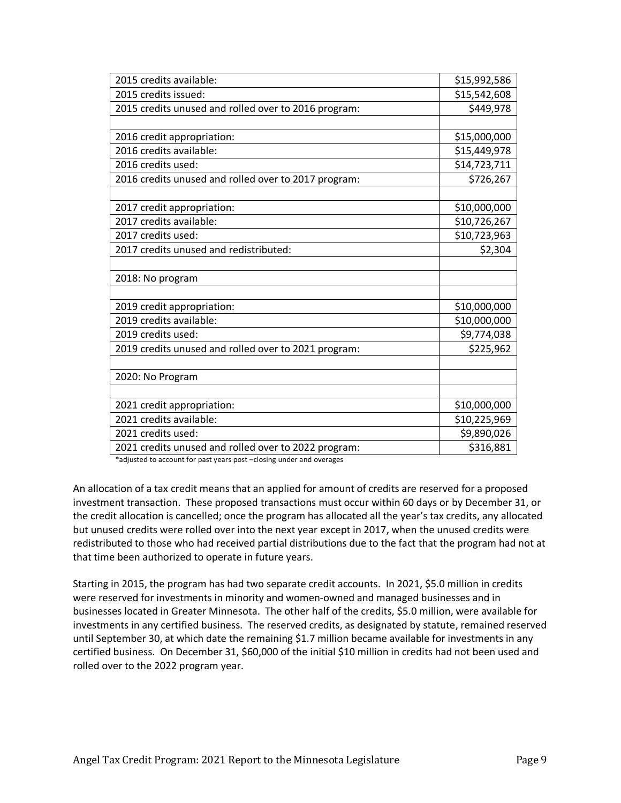| 2015 credits available:                              | \$15,992,586 |
|------------------------------------------------------|--------------|
| 2015 credits issued:                                 | \$15,542,608 |
| 2015 credits unused and rolled over to 2016 program: | \$449,978    |
|                                                      |              |
| 2016 credit appropriation:                           | \$15,000,000 |
| 2016 credits available:                              | \$15,449,978 |
| 2016 credits used:                                   | \$14,723,711 |
| 2016 credits unused and rolled over to 2017 program: | \$726,267    |
|                                                      |              |
| 2017 credit appropriation:                           | \$10,000,000 |
| 2017 credits available:                              | \$10,726,267 |
| 2017 credits used:                                   | \$10,723,963 |
| 2017 credits unused and redistributed:               | \$2,304      |
|                                                      |              |
| 2018: No program                                     |              |
|                                                      |              |
| 2019 credit appropriation:                           | \$10,000,000 |
| 2019 credits available:                              | \$10,000,000 |
| 2019 credits used:                                   | \$9,774,038  |
| 2019 credits unused and rolled over to 2021 program: | \$225,962    |
|                                                      |              |
| 2020: No Program                                     |              |
|                                                      |              |
| 2021 credit appropriation:                           | \$10,000,000 |
| 2021 credits available:                              | \$10,225,969 |
| 2021 credits used:                                   | \$9,890,026  |
| 2021 credits unused and rolled over to 2022 program: | \$316,881    |

\*adjusted to account for past years post –closing under and overages

An allocation of a tax credit means that an applied for amount of credits are reserved for a proposed investment transaction. These proposed transactions must occur within 60 days or by December 31, or the credit allocation is cancelled; once the program has allocated all the year's tax credits, any allocated but unused credits were rolled over into the next year except in 2017, when the unused credits were redistributed to those who had received partial distributions due to the fact that the program had not at that time been authorized to operate in future years.

Starting in 2015, the program has had two separate credit accounts. In 2021, \$5.0 million in credits were reserved for investments in minority and women-owned and managed businesses and in businesses located in Greater Minnesota. The other half of the credits, \$5.0 million, were available for investments in any certified business. The reserved credits, as designated by statute, remained reserved until September 30, at which date the remaining \$1.7 million became available for investments in any certified business. On December 31, \$60,000 of the initial \$10 million in credits had not been used and rolled over to the 2022 program year.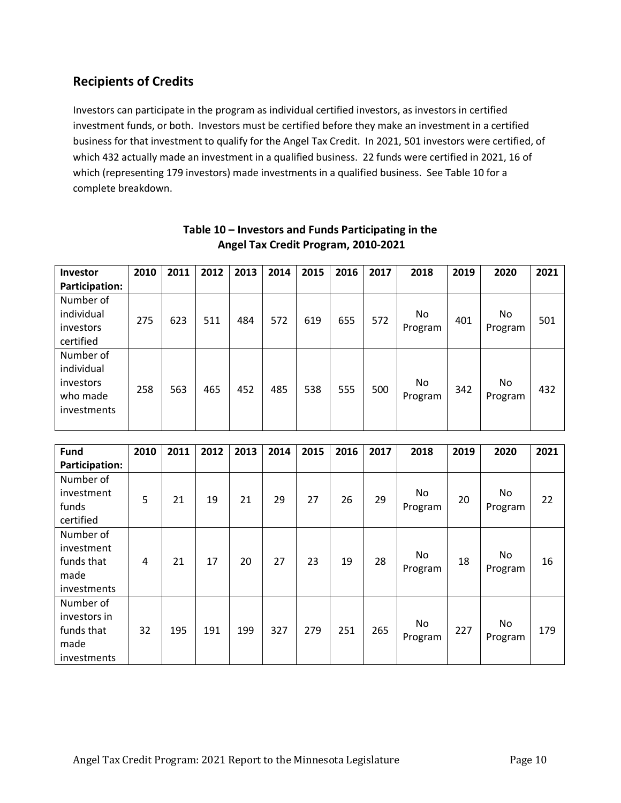#### **Recipients of Credits**

Investors can participate in the program as individual certified investors, as investors in certified investment funds, or both. Investors must be certified before they make an investment in a certified business for that investment to qualify for the Angel Tax Credit. In 2021, 501 investors were certified, of which 432 actually made an investment in a qualified business. 22 funds were certified in 2021, 16 of which (representing 179 investors) made investments in a qualified business. See Table 10 for a complete breakdown.

| <b>Investor</b> | 2010 | 2011 | 2012 | 2013 | 2014 | 2015 | 2016 | 2017 | 2018    | 2019 | 2020    | 2021 |
|-----------------|------|------|------|------|------|------|------|------|---------|------|---------|------|
| Participation:  |      |      |      |      |      |      |      |      |         |      |         |      |
| Number of       |      |      |      |      |      |      |      |      |         |      |         |      |
| individual      |      |      |      | 484  | 572  |      |      | 572  | No      |      | No      |      |
| investors       | 275  | 623  | 511  |      |      | 619  | 655  |      | Program | 401  | Program | 501  |
| certified       |      |      |      |      |      |      |      |      |         |      |         |      |
| Number of       |      |      |      |      |      |      |      |      |         |      |         |      |
| individual      |      |      |      |      |      |      |      |      |         |      |         |      |
| investors       | 258  | 563  | 465  | 452  | 485  | 538  | 555  | 500  | No.     | 342  | No.     | 432  |
| who made        |      |      |      |      |      |      |      |      | Program |      | Program |      |
| investments     |      |      |      |      |      |      |      |      |         |      |         |      |
|                 |      |      |      |      |      |      |      |      |         |      |         |      |

#### **Table 10 – Investors and Funds Participating in the Angel Tax Credit Program, 2010-2021**

| <b>Fund</b>    | 2010 | 2011 | 2012 | 2013 | 2014 | 2015 | 2016 | 2017 | 2018    | 2019 | 2020    | 2021 |
|----------------|------|------|------|------|------|------|------|------|---------|------|---------|------|
| Participation: |      |      |      |      |      |      |      |      |         |      |         |      |
| Number of      |      |      |      |      |      |      |      |      |         |      |         |      |
| investment     | 5    | 21   | 19   | 21   | 29   | 27   | 26   | 29   | No      | 20   | No      | 22   |
| funds          |      |      |      |      |      |      |      |      | Program |      | Program |      |
| certified      |      |      |      |      |      |      |      |      |         |      |         |      |
| Number of      |      |      |      |      |      |      |      |      |         |      |         |      |
| investment     |      |      |      |      |      |      |      |      | No      |      | No.     |      |
| funds that     | 4    | 21   | 17   | 20   | 27   | 23   | 19   | 28   | Program | 18   | Program | 16   |
| made           |      |      |      |      |      |      |      |      |         |      |         |      |
| investments    |      |      |      |      |      |      |      |      |         |      |         |      |
| Number of      |      |      |      |      |      |      |      |      |         |      |         |      |
| investors in   |      |      |      |      |      |      |      |      | No      |      | No      |      |
| funds that     | 32   | 195  | 191  | 199  | 327  | 279  | 251  | 265  | Program | 227  | Program | 179  |
| made           |      |      |      |      |      |      |      |      |         |      |         |      |
| investments    |      |      |      |      |      |      |      |      |         |      |         |      |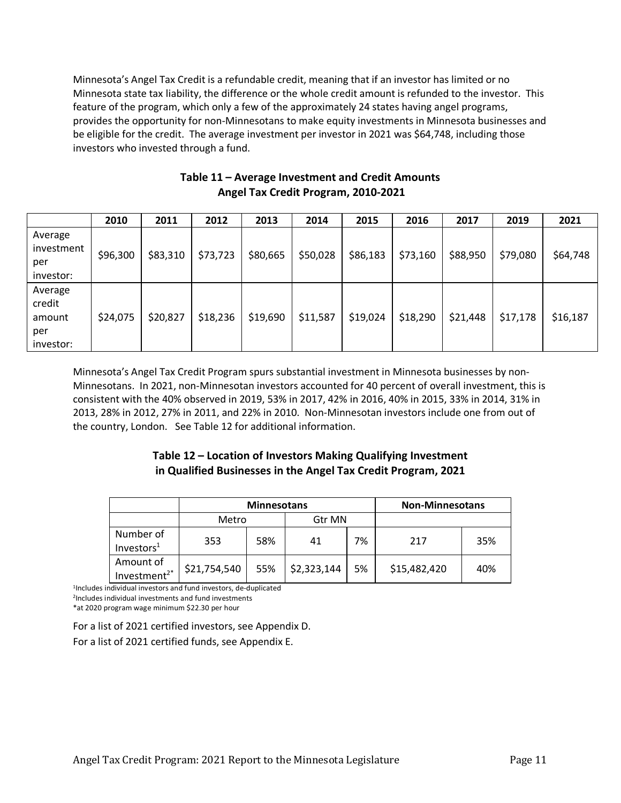Minnesota's Angel Tax Credit is a refundable credit, meaning that if an investor has limited or no Minnesota state tax liability, the difference or the whole credit amount is refunded to the investor. This feature of the program, which only a few of the approximately 24 states having angel programs, provides the opportunity for non-Minnesotans to make equity investments in Minnesota businesses and be eligible for the credit. The average investment per investor in 2021 was \$64,748, including those investors who invested through a fund.

|                                                 | 2010     | 2011     | 2012     | 2013     | 2014     | 2015     | 2016     | 2017     | 2019     | 2021     |
|-------------------------------------------------|----------|----------|----------|----------|----------|----------|----------|----------|----------|----------|
| Average<br>investment<br>per<br>investor:       | \$96,300 | \$83,310 | \$73,723 | \$80,665 | \$50,028 | \$86,183 | \$73,160 | \$88,950 | \$79,080 | \$64,748 |
| Average<br>credit<br>amount<br>per<br>investor: | \$24,075 | \$20,827 | \$18,236 | \$19,690 | \$11,587 | \$19,024 | \$18,290 | \$21,448 | \$17,178 | \$16,187 |

#### **Table 11 – Average Investment and Credit Amounts Angel Tax Credit Program, 2010-2021**

Minnesota's Angel Tax Credit Program spurs substantial investment in Minnesota businesses by non-Minnesotans. In 2021, non-Minnesotan investors accounted for 40 percent of overall investment, this is consistent with the 40% observed in 2019, 53% in 2017, 42% in 2016, 40% in 2015, 33% in 2014, 31% in 2013, 28% in 2012, 27% in 2011, and 22% in 2010. Non-Minnesotan investors include one from out of the country, London. See Table 12 for additional information.

#### **Table 12 – Location of Investors Making Qualifying Investment in Qualified Businesses in the Angel Tax Credit Program, 2021**

|                                       |              | <b>Minnesotans</b> | <b>Non-Minnesotans</b> |    |              |     |
|---------------------------------------|--------------|--------------------|------------------------|----|--------------|-----|
|                                       | Metro        |                    | Gtr MN                 |    |              |     |
| Number of<br>Investors <sup>1</sup>   | 353          | 58%                | 41                     | 7% | 217          | 35% |
| Amount of<br>Investment <sup>2*</sup> | \$21,754,540 | 55%                | \$2,323,144            | 5% | \$15,482,420 | 40% |

1Includes individual investors and fund investors, de-duplicated 2Includes individual investments and fund investments

\*at 2020 program wage minimum \$22.30 per hour

For a list of 2021 certified investors, see Appendix D.

For a list of 2021 certified funds, see Appendix E.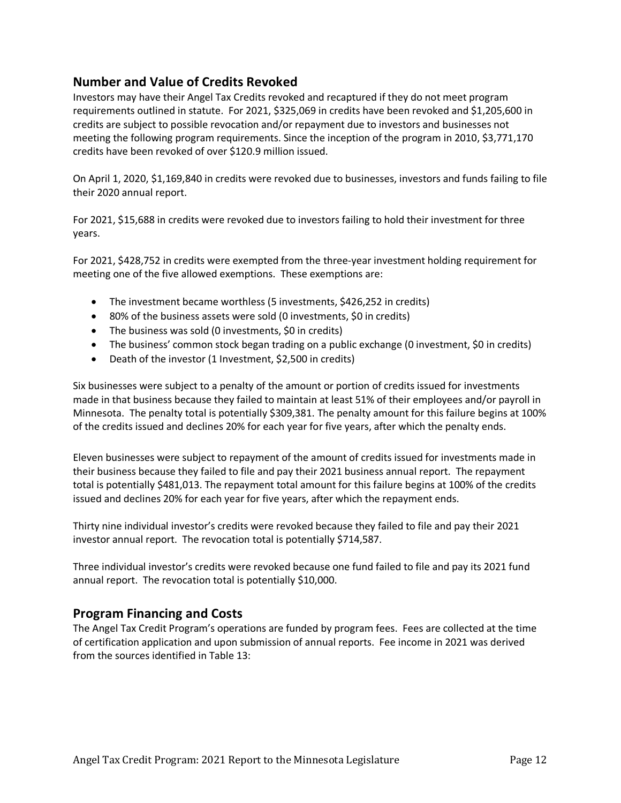#### **Number and Value of Credits Revoked**

Investors may have their Angel Tax Credits revoked and recaptured if they do not meet program requirements outlined in statute. For 2021, \$325,069 in credits have been revoked and \$1,205,600 in credits are subject to possible revocation and/or repayment due to investors and businesses not meeting the following program requirements. Since the inception of the program in 2010, \$3,771,170 credits have been revoked of over \$120.9 million issued.

On April 1, 2020, \$1,169,840 in credits were revoked due to businesses, investors and funds failing to file their 2020 annual report.

For 2021, \$15,688 in credits were revoked due to investors failing to hold their investment for three years.

For 2021, \$428,752 in credits were exempted from the three-year investment holding requirement for meeting one of the five allowed exemptions. These exemptions are:

- The investment became worthless (5 investments, \$426,252 in credits)
- 80% of the business assets were sold (0 investments, \$0 in credits)
- The business was sold (0 investments, \$0 in credits)
- The business' common stock began trading on a public exchange (0 investment, \$0 in credits)
- Death of the investor (1 Investment, \$2,500 in credits)

Six businesses were subject to a penalty of the amount or portion of credits issued for investments made in that business because they failed to maintain at least 51% of their employees and/or payroll in Minnesota. The penalty total is potentially \$309,381. The penalty amount for this failure begins at 100% of the credits issued and declines 20% for each year for five years, after which the penalty ends.

Eleven businesses were subject to repayment of the amount of credits issued for investments made in their business because they failed to file and pay their 2021 business annual report. The repayment total is potentially \$481,013. The repayment total amount for this failure begins at 100% of the credits issued and declines 20% for each year for five years, after which the repayment ends.

Thirty nine individual investor's credits were revoked because they failed to file and pay their 2021 investor annual report. The revocation total is potentially \$714,587.

Three individual investor's credits were revoked because one fund failed to file and pay its 2021 fund annual report. The revocation total is potentially \$10,000.

#### **Program Financing and Costs**

The Angel Tax Credit Program's operations are funded by program fees. Fees are collected at the time of certification application and upon submission of annual reports. Fee income in 2021 was derived from the sources identified in Table 13: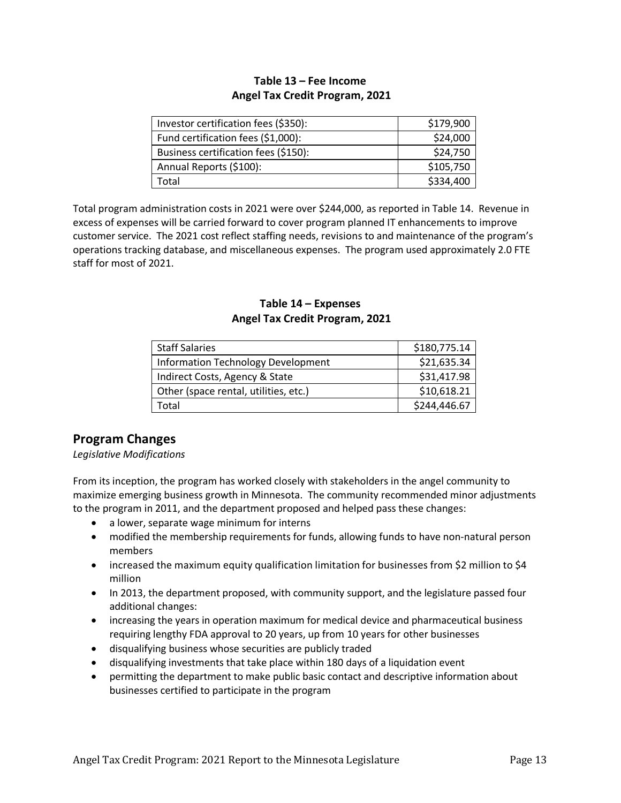#### **Table 13 – Fee Income Angel Tax Credit Program, 2021**

| Investor certification fees (\$350): | \$179,900 |
|--------------------------------------|-----------|
| Fund certification fees (\$1,000):   | \$24,000  |
| Business certification fees (\$150): | \$24,750  |
| Annual Reports (\$100):              | \$105,750 |
| Total                                | \$334,400 |

Total program administration costs in 2021 were over \$244,000, as reported in Table 14. Revenue in excess of expenses will be carried forward to cover program planned IT enhancements to improve customer service. The 2021 cost reflect staffing needs, revisions to and maintenance of the program's operations tracking database, and miscellaneous expenses. The program used approximately 2.0 FTE staff for most of 2021.

#### **Table 14 – Expenses Angel Tax Credit Program, 2021**

| <b>Staff Salaries</b>                     | \$180,775.14 |
|-------------------------------------------|--------------|
| <b>Information Technology Development</b> | \$21,635.34  |
| Indirect Costs, Agency & State            | \$31,417.98  |
| Other (space rental, utilities, etc.)     | \$10,618.21  |
| Total                                     | \$244,446.67 |

#### **Program Changes**

*Legislative Modifications*

From its inception, the program has worked closely with stakeholders in the angel community to maximize emerging business growth in Minnesota. The community recommended minor adjustments to the program in 2011, and the department proposed and helped pass these changes:

- a lower, separate wage minimum for interns
- modified the membership requirements for funds, allowing funds to have non-natural person members
- increased the maximum equity qualification limitation for businesses from \$2 million to \$4 million
- In 2013, the department proposed, with community support, and the legislature passed four additional changes:
- increasing the years in operation maximum for medical device and pharmaceutical business requiring lengthy FDA approval to 20 years, up from 10 years for other businesses
- disqualifying business whose securities are publicly traded
- disqualifying investments that take place within 180 days of a liquidation event
- permitting the department to make public basic contact and descriptive information about businesses certified to participate in the program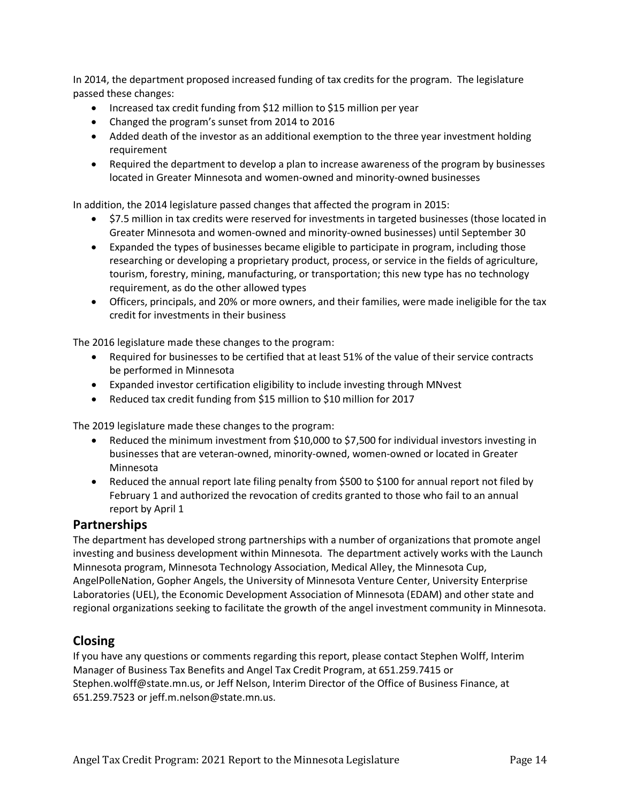In 2014, the department proposed increased funding of tax credits for the program. The legislature passed these changes:

- Increased tax credit funding from \$12 million to \$15 million per year
- Changed the program's sunset from 2014 to 2016
- Added death of the investor as an additional exemption to the three year investment holding requirement
- Required the department to develop a plan to increase awareness of the program by businesses located in Greater Minnesota and women-owned and minority-owned businesses

In addition, the 2014 legislature passed changes that affected the program in 2015:

- \$7.5 million in tax credits were reserved for investments in targeted businesses (those located in Greater Minnesota and women-owned and minority-owned businesses) until September 30
- Expanded the types of businesses became eligible to participate in program, including those researching or developing a proprietary product, process, or service in the fields of agriculture, tourism, forestry, mining, manufacturing, or transportation; this new type has no technology requirement, as do the other allowed types
- Officers, principals, and 20% or more owners, and their families, were made ineligible for the tax credit for investments in their business

The 2016 legislature made these changes to the program:

- Required for businesses to be certified that at least 51% of the value of their service contracts be performed in Minnesota
- Expanded investor certification eligibility to include investing through MNvest
- Reduced tax credit funding from \$15 million to \$10 million for 2017

The 2019 legislature made these changes to the program:

- Reduced the minimum investment from \$10,000 to \$7,500 for individual investors investing in businesses that are veteran-owned, minority-owned, women-owned or located in Greater Minnesota
- Reduced the annual report late filing penalty from \$500 to \$100 for annual report not filed by February 1 and authorized the revocation of credits granted to those who fail to an annual report by April 1

#### **Partnerships**

The department has developed strong partnerships with a number of organizations that promote angel investing and business development within Minnesota. The department actively works with the Launch Minnesota program, Minnesota Technology Association, Medical Alley, the Minnesota Cup, AngelPolleNation, Gopher Angels, the University of Minnesota Venture Center, University Enterprise Laboratories (UEL), the Economic Development Association of Minnesota (EDAM) and other state and regional organizations seeking to facilitate the growth of the angel investment community in Minnesota.

#### **Closing**

If you have any questions or comments regarding this report, please contact Stephen Wolff, Interim Manager of Business Tax Benefits and Angel Tax Credit Program, at 651.259.7415 or Stephen.wolf[f@state.mn.us,](mailto:jeff.m.nelson@state.mn.us) or Jeff Nelson, Interim Director of the Office of Business Finance, at 651.259.7523 or [jeff.m.nelson@state.mn.us.](mailto:jeff.m.nelson@state.mn.us)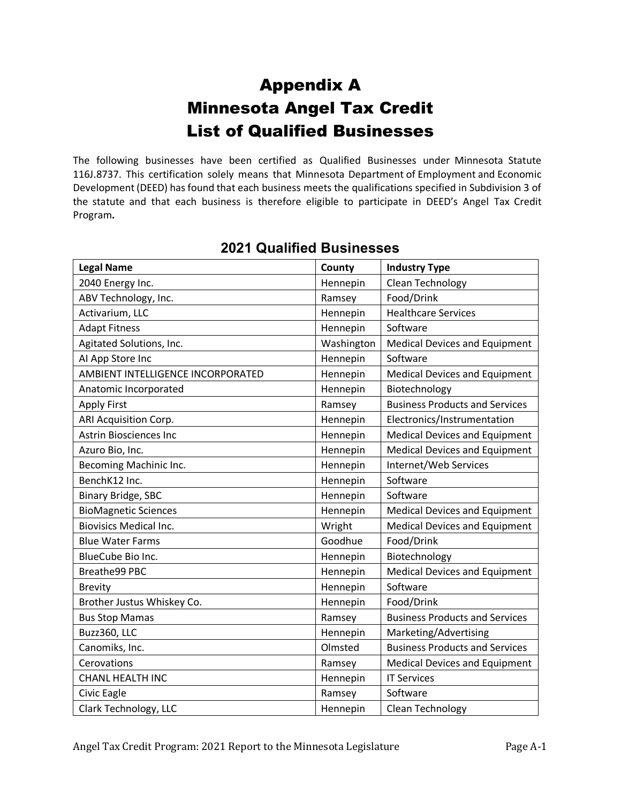## Appendix A Minnesota Angel Tax Credit List of Qualified Businesses

The following businesses have been certified as Qualified Businesses under Minnesota Statute 116J.8737. This certification solely means that Minnesota Department of Employment and Economic Development(DEED) has found that each business meets the qualifications specified in Subdivision 3 of the statute and that each business is therefore eligible to participate in DEED's Angel Tax Credit Program*.* 

| <b>Legal Name</b>                 | County     | <b>Industry Type</b>                  |
|-----------------------------------|------------|---------------------------------------|
| 2040 Energy Inc.                  | Hennepin   | Clean Technology                      |
| ABV Technology, Inc.              | Ramsey     | Food/Drink                            |
| Activarium, LLC                   | Hennepin   | <b>Healthcare Services</b>            |
| <b>Adapt Fitness</b>              | Hennepin   | Software                              |
| Agitated Solutions, Inc.          | Washington | <b>Medical Devices and Equipment</b>  |
| Al App Store Inc                  | Hennepin   | Software                              |
| AMBIENT INTELLIGENCE INCORPORATED | Hennepin   | <b>Medical Devices and Equipment</b>  |
| Anatomic Incorporated             | Hennepin   | Biotechnology                         |
| <b>Apply First</b>                | Ramsey     | <b>Business Products and Services</b> |
| ARI Acquisition Corp.             | Hennepin   | Electronics/Instrumentation           |
| <b>Astrin Biosciences Inc</b>     | Hennepin   | <b>Medical Devices and Equipment</b>  |
| Azuro Bio, Inc.                   | Hennepin   | <b>Medical Devices and Equipment</b>  |
| Becoming Machinic Inc.            | Hennepin   | Internet/Web Services                 |
| BenchK12 Inc.                     | Hennepin   | Software                              |
| <b>Binary Bridge, SBC</b>         | Hennepin   | Software                              |
| <b>BioMagnetic Sciences</b>       | Hennepin   | <b>Medical Devices and Equipment</b>  |
| <b>Biovisics Medical Inc.</b>     | Wright     | <b>Medical Devices and Equipment</b>  |
| <b>Blue Water Farms</b>           | Goodhue    | Food/Drink                            |
| BlueCube Bio Inc.                 | Hennepin   | Biotechnology                         |
| Breathe99 PBC                     | Hennepin   | <b>Medical Devices and Equipment</b>  |
| <b>Brevity</b>                    | Hennepin   | Software                              |
| Brother Justus Whiskey Co.        | Hennepin   | Food/Drink                            |
| <b>Bus Stop Mamas</b>             | Ramsey     | <b>Business Products and Services</b> |
| Buzz360, LLC                      | Hennepin   | Marketing/Advertising                 |
| Canomiks, Inc.                    | Olmsted    | <b>Business Products and Services</b> |
| Cerovations                       | Ramsey     | <b>Medical Devices and Equipment</b>  |
| <b>CHANL HEALTH INC</b>           | Hennepin   | <b>IT Services</b>                    |
| Civic Eagle                       | Ramsey     | Software                              |
| Clark Technology, LLC             | Hennepin   | Clean Technology                      |

#### **2021 Qualified Businesses**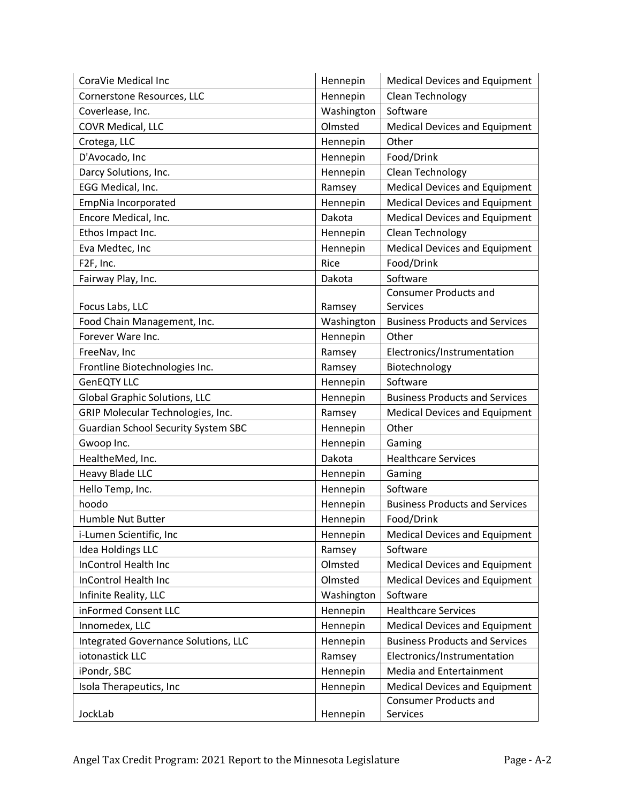| CoraVie Medical Inc                        | Hennepin   | <b>Medical Devices and Equipment</b>  |
|--------------------------------------------|------------|---------------------------------------|
| Cornerstone Resources, LLC                 | Hennepin   | Clean Technology                      |
| Coverlease, Inc.                           | Washington | Software                              |
| COVR Medical, LLC                          | Olmsted    | <b>Medical Devices and Equipment</b>  |
| Crotega, LLC                               | Hennepin   | Other                                 |
| D'Avocado, Inc                             | Hennepin   | Food/Drink                            |
| Darcy Solutions, Inc.                      | Hennepin   | Clean Technology                      |
| EGG Medical, Inc.                          | Ramsey     | <b>Medical Devices and Equipment</b>  |
| EmpNia Incorporated                        | Hennepin   | <b>Medical Devices and Equipment</b>  |
| Encore Medical, Inc.                       | Dakota     | <b>Medical Devices and Equipment</b>  |
| Ethos Impact Inc.                          | Hennepin   | Clean Technology                      |
| Eva Medtec, Inc                            | Hennepin   | <b>Medical Devices and Equipment</b>  |
| F2F, Inc.                                  | Rice       | Food/Drink                            |
| Fairway Play, Inc.                         | Dakota     | Software                              |
|                                            |            | <b>Consumer Products and</b>          |
| Focus Labs, LLC                            | Ramsey     | Services                              |
| Food Chain Management, Inc.                | Washington | <b>Business Products and Services</b> |
| Forever Ware Inc.                          | Hennepin   | Other                                 |
| FreeNav, Inc                               | Ramsey     | Electronics/Instrumentation           |
| Frontline Biotechnologies Inc.             | Ramsey     | Biotechnology                         |
| <b>GenEQTY LLC</b>                         | Hennepin   | Software                              |
| Global Graphic Solutions, LLC              | Hennepin   | <b>Business Products and Services</b> |
| GRIP Molecular Technologies, Inc.          | Ramsey     | <b>Medical Devices and Equipment</b>  |
| <b>Guardian School Security System SBC</b> | Hennepin   | Other                                 |
| Gwoop Inc.                                 | Hennepin   | Gaming                                |
| HealtheMed, Inc.                           | Dakota     | <b>Healthcare Services</b>            |
| <b>Heavy Blade LLC</b>                     | Hennepin   | Gaming                                |
| Hello Temp, Inc.                           | Hennepin   | Software                              |
| hoodo                                      | Hennepin   | <b>Business Products and Services</b> |
| Humble Nut Butter                          | Hennepin   | Food/Drink                            |
| i-Lumen Scientific, Inc                    | Hennepin   | <b>Medical Devices and Equipment</b>  |
| <b>Idea Holdings LLC</b>                   | Ramsey     | Software                              |
| <b>InControl Health Inc</b>                | Olmsted    | <b>Medical Devices and Equipment</b>  |
| InControl Health Inc                       | Olmsted    | <b>Medical Devices and Equipment</b>  |
| Infinite Reality, LLC                      | Washington | Software                              |
| inFormed Consent LLC                       | Hennepin   | <b>Healthcare Services</b>            |
| Innomedex, LLC                             | Hennepin   | <b>Medical Devices and Equipment</b>  |
| Integrated Governance Solutions, LLC       | Hennepin   | <b>Business Products and Services</b> |
| iotonastick LLC                            | Ramsey     | Electronics/Instrumentation           |
| iPondr, SBC                                | Hennepin   | Media and Entertainment               |
| Isola Therapeutics, Inc                    | Hennepin   | <b>Medical Devices and Equipment</b>  |
|                                            |            | <b>Consumer Products and</b>          |
| JockLab                                    | Hennepin   | Services                              |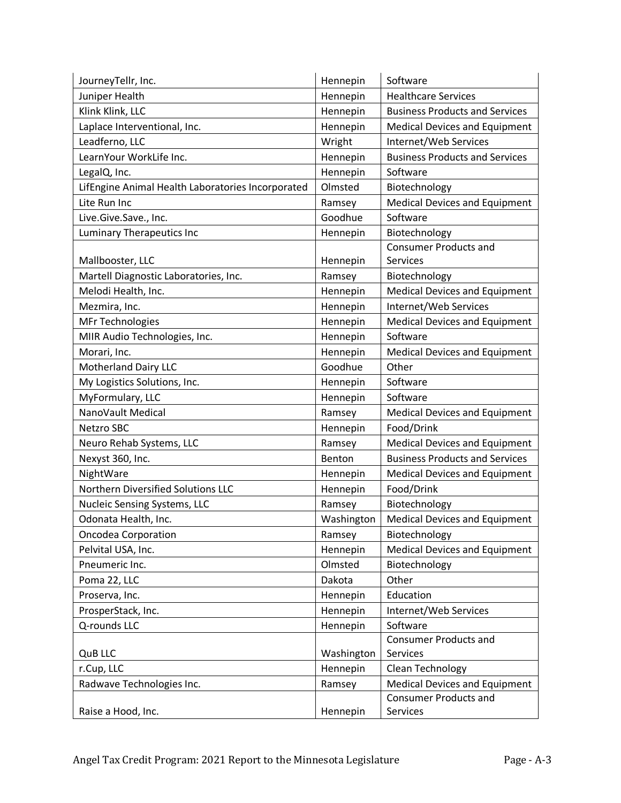| JourneyTellr, Inc.                                | Hennepin   | Software                              |
|---------------------------------------------------|------------|---------------------------------------|
| Juniper Health                                    | Hennepin   | <b>Healthcare Services</b>            |
| Klink Klink, LLC                                  | Hennepin   | <b>Business Products and Services</b> |
| Laplace Interventional, Inc.                      | Hennepin   | <b>Medical Devices and Equipment</b>  |
| Leadferno, LLC                                    | Wright     | Internet/Web Services                 |
| LearnYour WorkLife Inc.                           | Hennepin   | <b>Business Products and Services</b> |
| LegalQ, Inc.                                      | Hennepin   | Software                              |
| LifEngine Animal Health Laboratories Incorporated | Olmsted    | Biotechnology                         |
| Lite Run Inc                                      | Ramsey     | <b>Medical Devices and Equipment</b>  |
| Live.Give.Save., Inc.                             | Goodhue    | Software                              |
| Luminary Therapeutics Inc                         | Hennepin   | Biotechnology                         |
|                                                   |            | <b>Consumer Products and</b>          |
| Mallbooster, LLC                                  | Hennepin   | Services                              |
| Martell Diagnostic Laboratories, Inc.             | Ramsey     | Biotechnology                         |
| Melodi Health, Inc.                               | Hennepin   | <b>Medical Devices and Equipment</b>  |
| Mezmira, Inc.                                     | Hennepin   | Internet/Web Services                 |
| <b>MFr Technologies</b>                           | Hennepin   | <b>Medical Devices and Equipment</b>  |
| MIIR Audio Technologies, Inc.                     | Hennepin   | Software                              |
| Morari, Inc.                                      | Hennepin   | <b>Medical Devices and Equipment</b>  |
| <b>Motherland Dairy LLC</b>                       | Goodhue    | Other                                 |
| My Logistics Solutions, Inc.                      | Hennepin   | Software                              |
| MyFormulary, LLC                                  | Hennepin   | Software                              |
| NanoVault Medical                                 | Ramsey     | <b>Medical Devices and Equipment</b>  |
| <b>Netzro SBC</b>                                 | Hennepin   | Food/Drink                            |
| Neuro Rehab Systems, LLC                          | Ramsey     | <b>Medical Devices and Equipment</b>  |
| Nexyst 360, Inc.                                  | Benton     | <b>Business Products and Services</b> |
| NightWare                                         | Hennepin   | <b>Medical Devices and Equipment</b>  |
| Northern Diversified Solutions LLC                | Hennepin   | Food/Drink                            |
| Nucleic Sensing Systems, LLC                      | Ramsey     | Biotechnology                         |
| Odonata Health, Inc.                              | Washington | <b>Medical Devices and Equipment</b>  |
| <b>Oncodea Corporation</b>                        | Ramsey     | Biotechnology                         |
| Pelvital USA, Inc.                                | Hennepin   | <b>Medical Devices and Equipment</b>  |
| Pneumeric Inc.                                    | Olmsted    | Biotechnology                         |
| Poma 22, LLC                                      | Dakota     | Other                                 |
| Proserva, Inc.                                    | Hennepin   | Education                             |
| ProsperStack, Inc.                                | Hennepin   | Internet/Web Services                 |
| Q-rounds LLC                                      | Hennepin   | Software                              |
|                                                   |            | <b>Consumer Products and</b>          |
| <b>QuB LLC</b>                                    | Washington | Services                              |
| r.Cup, LLC                                        | Hennepin   | Clean Technology                      |
| Radwave Technologies Inc.                         | Ramsey     | <b>Medical Devices and Equipment</b>  |
|                                                   |            | <b>Consumer Products and</b>          |
| Raise a Hood, Inc.                                | Hennepin   | Services                              |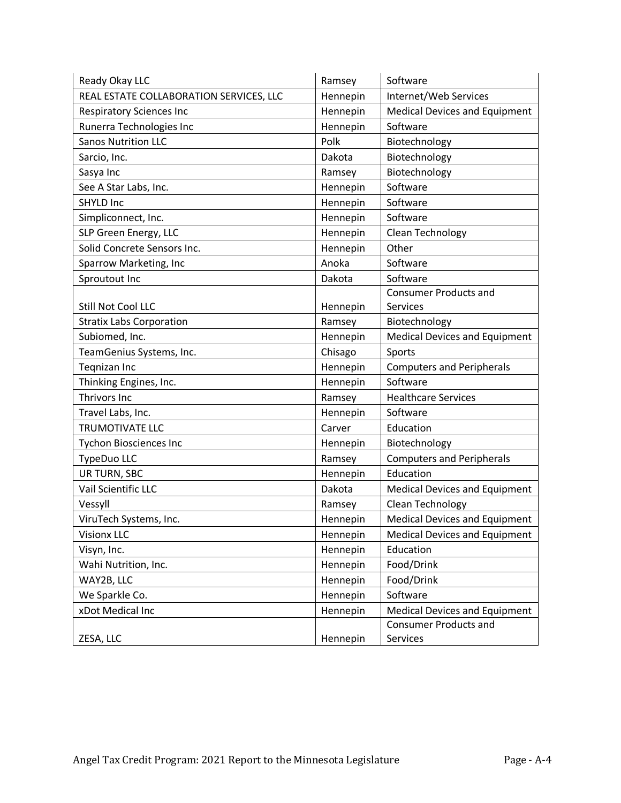| Ready Okay LLC                          | Ramsey   | Software                             |
|-----------------------------------------|----------|--------------------------------------|
| REAL ESTATE COLLABORATION SERVICES, LLC | Hennepin | Internet/Web Services                |
| <b>Respiratory Sciences Inc</b>         | Hennepin | <b>Medical Devices and Equipment</b> |
| Runerra Technologies Inc                | Hennepin | Software                             |
| <b>Sanos Nutrition LLC</b>              | Polk     | Biotechnology                        |
| Sarcio, Inc.                            | Dakota   | Biotechnology                        |
| Sasya Inc                               | Ramsey   | Biotechnology                        |
| See A Star Labs, Inc.                   | Hennepin | Software                             |
| <b>SHYLD Inc</b>                        | Hennepin | Software                             |
| Simpliconnect, Inc.                     | Hennepin | Software                             |
| SLP Green Energy, LLC                   | Hennepin | Clean Technology                     |
| Solid Concrete Sensors Inc.             | Hennepin | Other                                |
| Sparrow Marketing, Inc                  | Anoka    | Software                             |
| Sproutout Inc                           | Dakota   | Software                             |
|                                         |          | <b>Consumer Products and</b>         |
| Still Not Cool LLC                      | Hennepin | Services                             |
| <b>Stratix Labs Corporation</b>         | Ramsey   | Biotechnology                        |
| Subiomed, Inc.                          | Hennepin | <b>Medical Devices and Equipment</b> |
| TeamGenius Systems, Inc.                | Chisago  | Sports                               |
| Teqnizan Inc                            | Hennepin | <b>Computers and Peripherals</b>     |
| Thinking Engines, Inc.                  | Hennepin | Software                             |
| Thrivors Inc                            | Ramsey   | <b>Healthcare Services</b>           |
| Travel Labs, Inc.                       | Hennepin | Software                             |
| <b>TRUMOTIVATE LLC</b>                  | Carver   | Education                            |
| <b>Tychon Biosciences Inc</b>           | Hennepin | Biotechnology                        |
| TypeDuo LLC                             | Ramsey   | <b>Computers and Peripherals</b>     |
| <b>UR TURN, SBC</b>                     | Hennepin | Education                            |
| Vail Scientific LLC                     | Dakota   | <b>Medical Devices and Equipment</b> |
| Vessyll                                 | Ramsey   | Clean Technology                     |
| ViruTech Systems, Inc.                  | Hennepin | <b>Medical Devices and Equipment</b> |
| <b>Visionx LLC</b>                      | Hennepin | <b>Medical Devices and Equipment</b> |
| Visyn, Inc.                             | Hennepin | Education                            |
| Wahi Nutrition, Inc.                    | Hennepin | Food/Drink                           |
| WAY2B, LLC                              | Hennepin | Food/Drink                           |
| We Sparkle Co.                          | Hennepin | Software                             |
| xDot Medical Inc                        | Hennepin | <b>Medical Devices and Equipment</b> |
|                                         |          | <b>Consumer Products and</b>         |
| ZESA, LLC                               | Hennepin | Services                             |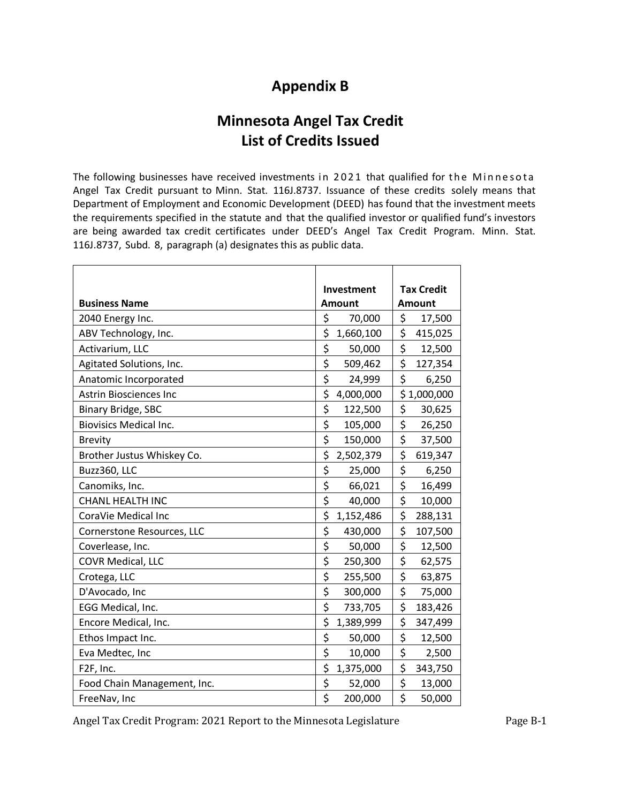## **Appendix B**

## **Minnesota Angel Tax Credit List of Credits Issued**

The following businesses have received investments in 2021 that qualified for the Minnesota Angel Tax Credit pursuant to Minn. Stat. 116J.8737. Issuance of these credits solely means that Department of Employment and Economic Development (DEED) has found that the investment meets the requirements specified in the statute and that the qualified investor or qualified fund's investors are being awarded tax credit certificates under DEED's Angel Tax Credit Program. Minn. Stat. 116J.8737, Subd. 8, paragraph (a) designates this as public data.

|                               | <b>Investment</b>                          | <b>Tax Credit</b> |
|-------------------------------|--------------------------------------------|-------------------|
| <b>Business Name</b>          | <b>Amount</b>                              | <b>Amount</b>     |
| 2040 Energy Inc.              | \$<br>70,000                               | \$<br>17,500      |
| ABV Technology, Inc.          | \$<br>1,660,100                            | \$<br>415,025     |
| Activarium, LLC               | \$<br>50,000                               | \$<br>12,500      |
| Agitated Solutions, Inc.      | \$<br>509,462                              | \$<br>127,354     |
| Anatomic Incorporated         | \$<br>24,999                               | \$<br>6,250       |
| <b>Astrin Biosciences Inc</b> | \$<br>4,000,000                            | \$1,000,000       |
| <b>Binary Bridge, SBC</b>     | \$<br>122,500                              | \$<br>30,625      |
| <b>Biovisics Medical Inc.</b> | \$<br>105,000                              | \$<br>26,250      |
| <b>Brevity</b>                | \$<br>150,000                              | \$<br>37,500      |
| Brother Justus Whiskey Co.    | \$<br>2,502,379                            | \$<br>619,347     |
| Buzz360, LLC                  | \$<br>25,000                               | \$<br>6,250       |
| Canomiks, Inc.                | \$<br>66,021                               | \$<br>16,499      |
| CHANL HEALTH INC              | \$<br>40,000                               | \$<br>10,000      |
| CoraVie Medical Inc           | \$<br>1,152,486                            | \$<br>288,131     |
| Cornerstone Resources, LLC    | \$<br>430,000                              | \$<br>107,500     |
| Coverlease, Inc.              | \$<br>50,000                               | \$<br>12,500      |
| COVR Medical, LLC             | $\overline{\boldsymbol{\zeta}}$<br>250,300 | \$<br>62,575      |
| Crotega, LLC                  | \$<br>255,500                              | \$<br>63,875      |
| D'Avocado, Inc                | \$<br>300,000                              | \$<br>75,000      |
| EGG Medical, Inc.             | \$<br>733,705                              | \$<br>183,426     |
| Encore Medical, Inc.          | \$<br>1,389,999                            | \$<br>347,499     |
| Ethos Impact Inc.             | \$<br>50,000                               | \$<br>12,500      |
| Eva Medtec, Inc               | \$<br>10,000                               | \$<br>2,500       |
| F <sub>2F</sub> , Inc.        | \$<br>1,375,000                            | \$<br>343,750     |
| Food Chain Management, Inc.   | \$<br>52,000                               | \$<br>13,000      |
| FreeNav, Inc                  | \$<br>200,000                              | \$<br>50,000      |

Angel Tax Credit Program: 2021 Report to the Minnesota Legislature Page B-1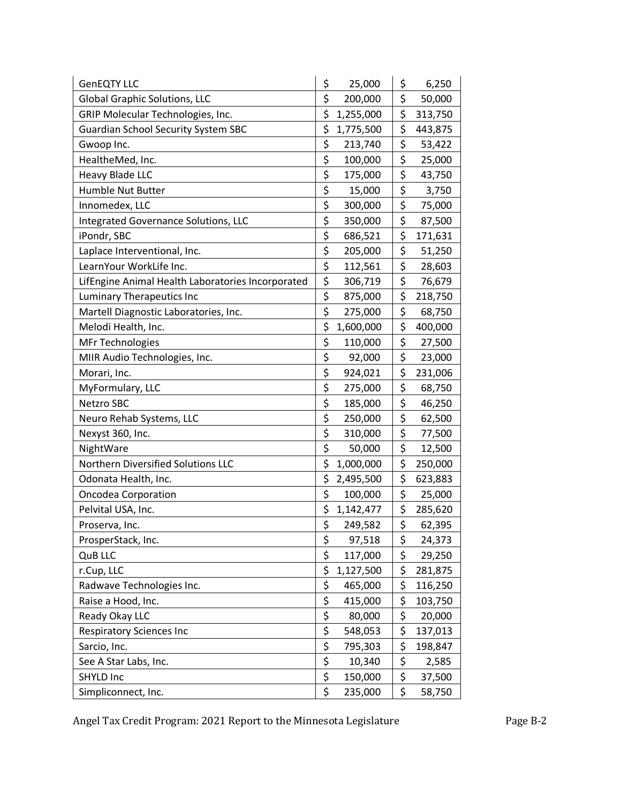| <b>GenEQTY LLC</b>                                | \$<br>25,000                               | \$<br>6,250   |
|---------------------------------------------------|--------------------------------------------|---------------|
| <b>Global Graphic Solutions, LLC</b>              | \$<br>200,000                              | \$<br>50,000  |
| GRIP Molecular Technologies, Inc.                 | \$<br>1,255,000                            | \$<br>313,750 |
| <b>Guardian School Security System SBC</b>        | \$<br>1,775,500                            | \$<br>443,875 |
| Gwoop Inc.                                        | \$<br>213,740                              | \$<br>53,422  |
| HealtheMed, Inc.                                  | \$<br>100,000                              | \$<br>25,000  |
| Heavy Blade LLC                                   | \$<br>175,000                              | \$<br>43,750  |
| <b>Humble Nut Butter</b>                          | \$<br>15,000                               | \$<br>3,750   |
| Innomedex, LLC                                    | \$<br>300,000                              | \$<br>75,000  |
| <b>Integrated Governance Solutions, LLC</b>       | \$<br>350,000                              | \$<br>87,500  |
| iPondr, SBC                                       | \$<br>686,521                              | \$<br>171,631 |
| Laplace Interventional, Inc.                      | $\overline{\xi}$<br>205,000                | \$<br>51,250  |
| LearnYour WorkLife Inc.                           | $\overline{\xi}$<br>112,561                | \$<br>28,603  |
| LifEngine Animal Health Laboratories Incorporated | \$<br>306,719                              | \$<br>76,679  |
| <b>Luminary Therapeutics Inc</b>                  | \$<br>875,000                              | \$<br>218,750 |
| Martell Diagnostic Laboratories, Inc.             | $\overline{\boldsymbol{\zeta}}$<br>275,000 | \$<br>68,750  |
| Melodi Health, Inc.                               | \$<br>1,600,000                            | \$<br>400,000 |
| <b>MFr Technologies</b>                           | \$<br>110,000                              | \$<br>27,500  |
| MIIR Audio Technologies, Inc.                     | \$<br>92,000                               | \$<br>23,000  |
| Morari, Inc.                                      | $\overline{\xi}$<br>924,021                | \$<br>231,006 |
| MyFormulary, LLC                                  | \$<br>275,000                              | \$<br>68,750  |
| Netzro SBC                                        | \$<br>185,000                              | \$<br>46,250  |
| Neuro Rehab Systems, LLC                          | \$<br>250,000                              | \$<br>62,500  |
| Nexyst 360, Inc.                                  | $\overline{\xi}$<br>310,000                | \$<br>77,500  |
| NightWare                                         | \$<br>50,000                               | \$<br>12,500  |
| Northern Diversified Solutions LLC                | \$<br>1,000,000                            | \$<br>250,000 |
| Odonata Health, Inc.                              | \$<br>2,495,500                            | \$<br>623,883 |
| <b>Oncodea Corporation</b>                        | \$<br>100,000                              | \$<br>25,000  |
| Pelvital USA, Inc.                                | \$<br>1,142,477                            | \$<br>285,620 |
| Proserva, Inc.                                    | $\overline{\boldsymbol{\zeta}}$<br>249,582 | \$<br>62,395  |
| ProsperStack, Inc.                                | \$<br>97,518                               | \$<br>24,373  |
| QuB LLC                                           | \$<br>117,000                              | \$<br>29,250  |
| r.Cup, LLC                                        | \$<br>1,127,500                            | \$<br>281,875 |
| Radwave Technologies Inc.                         | \$<br>465,000                              | \$<br>116,250 |
| Raise a Hood, Inc.                                | \$<br>415,000                              | \$<br>103,750 |
| Ready Okay LLC                                    | \$<br>80,000                               | \$<br>20,000  |
| <b>Respiratory Sciences Inc</b>                   | $\overline{\xi}$<br>548,053                | \$<br>137,013 |
| Sarcio, Inc.                                      | $\overline{\xi}$<br>795,303                | \$<br>198,847 |
| See A Star Labs, Inc.                             | \$<br>10,340                               | \$<br>2,585   |
| SHYLD Inc                                         | \$<br>150,000                              | \$<br>37,500  |
| Simpliconnect, Inc.                               | \$<br>235,000                              | \$<br>58,750  |

Angel Tax Credit Program: 2021 Report to the Minnesota Legislature Page B-2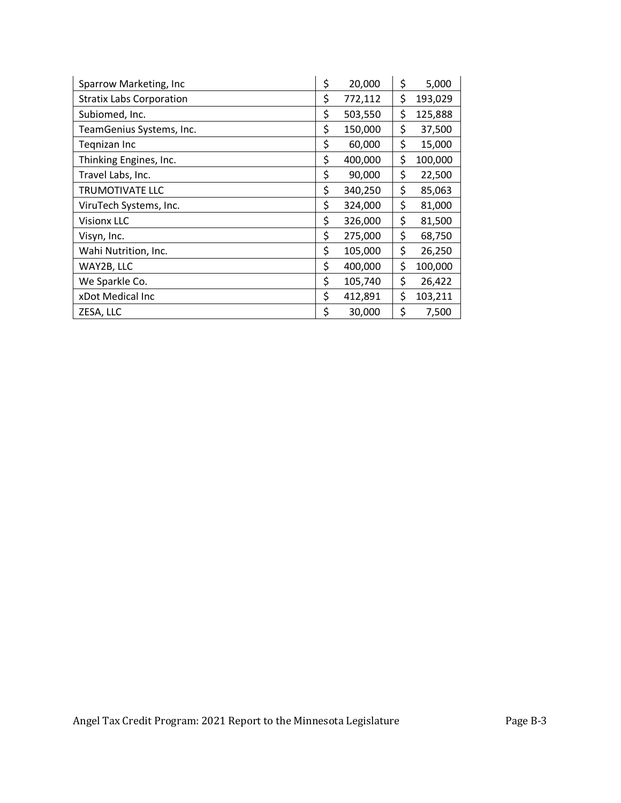| Sparrow Marketing, Inc          | \$<br>20,000  | \$<br>5,000   |
|---------------------------------|---------------|---------------|
| <b>Stratix Labs Corporation</b> | \$<br>772,112 | \$<br>193,029 |
| Subiomed, Inc.                  | \$<br>503,550 | \$<br>125,888 |
| TeamGenius Systems, Inc.        | \$<br>150,000 | \$<br>37,500  |
| Tegnizan Inc                    | \$<br>60,000  | \$<br>15,000  |
| Thinking Engines, Inc.          | \$<br>400,000 | \$<br>100,000 |
| Travel Labs, Inc.               | \$<br>90,000  | \$<br>22,500  |
| TRUMOTIVATE LLC                 | \$<br>340,250 | \$<br>85,063  |
| ViruTech Systems, Inc.          | \$<br>324,000 | \$<br>81,000  |
| <b>Visionx LLC</b>              | \$<br>326,000 | \$<br>81,500  |
| Visyn, Inc.                     | \$<br>275,000 | \$<br>68,750  |
| Wahi Nutrition, Inc.            | \$<br>105,000 | \$<br>26,250  |
| WAY2B, LLC                      | \$<br>400,000 | \$<br>100,000 |
| We Sparkle Co.                  | \$<br>105,740 | \$<br>26,422  |
| xDot Medical Inc                | \$<br>412,891 | \$<br>103,211 |
| ZESA, LLC                       | \$<br>30,000  | \$<br>7,500   |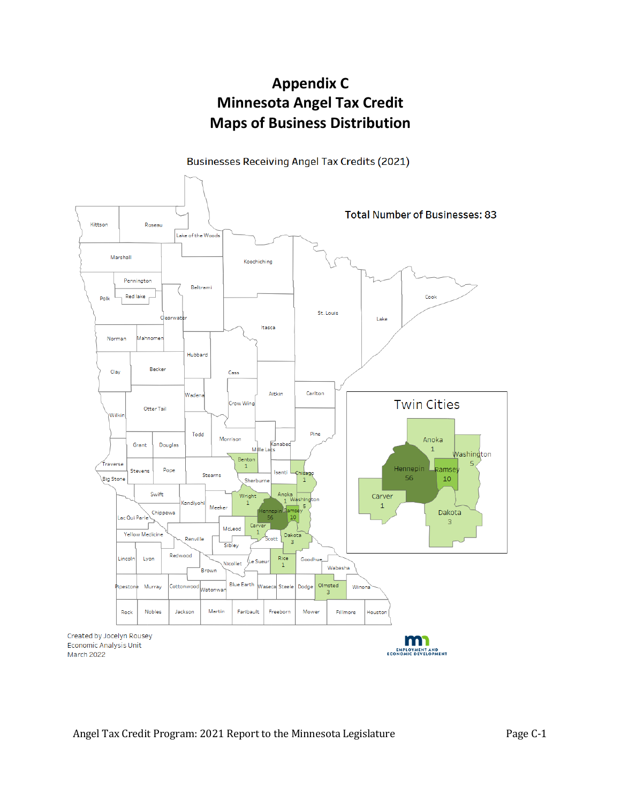## **Appendix C Minnesota Angel Tax Credit Maps of Business Distribution**

Businesses Receiving Angel Tax Credits (2021)

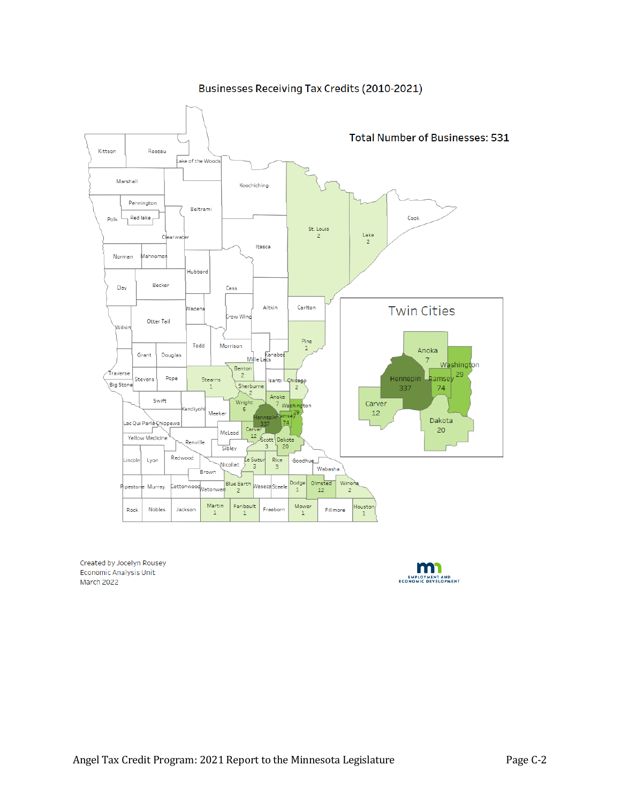#### Businesses Receiving Tax Credits (2010-2021)



Created by Jocelyn Rousey Economic Analysis Unit March 2022

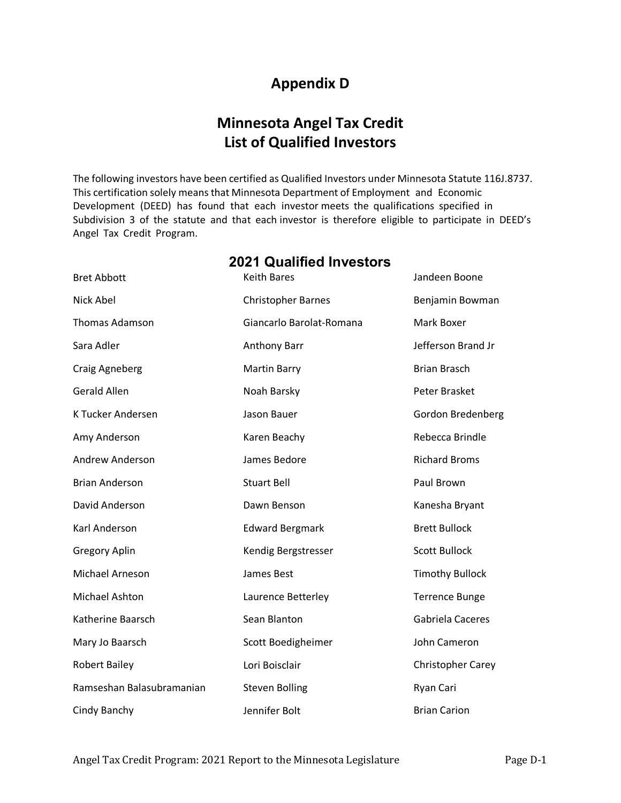## **Appendix D**

## **Minnesota Angel Tax Credit List of Qualified Investors**

The following investors have been certified as Qualified Investors under Minnesota Statute 116J.8737. This certification solely means that Minnesota Department of Employment and Economic Development (DEED) has found that each investor meets the qualifications specified in Subdivision 3 of the statute and that each investor is therefore eligible to participate in DEED's Angel Tax Credit Program.

| <b>Bret Abbott</b>        | <b>Keith Bares</b>        | Jandeen Boone            |
|---------------------------|---------------------------|--------------------------|
| Nick Abel                 | <b>Christopher Barnes</b> | Benjamin Bowman          |
| <b>Thomas Adamson</b>     | Giancarlo Barolat-Romana  | Mark Boxer               |
| Sara Adler                | <b>Anthony Barr</b>       | Jefferson Brand Jr       |
| Craig Agneberg            | <b>Martin Barry</b>       | <b>Brian Brasch</b>      |
| <b>Gerald Allen</b>       | Noah Barsky               | Peter Brasket            |
| K Tucker Andersen         | Jason Bauer               | Gordon Bredenberg        |
| Amy Anderson              | Karen Beachy              | Rebecca Brindle          |
| <b>Andrew Anderson</b>    | James Bedore              | <b>Richard Broms</b>     |
| <b>Brian Anderson</b>     | <b>Stuart Bell</b>        | Paul Brown               |
| David Anderson            | Dawn Benson               | Kanesha Bryant           |
| Karl Anderson             | <b>Edward Bergmark</b>    | <b>Brett Bullock</b>     |
| <b>Gregory Aplin</b>      | Kendig Bergstresser       | <b>Scott Bullock</b>     |
| Michael Arneson           | James Best                | <b>Timothy Bullock</b>   |
| Michael Ashton            | Laurence Betterley        | <b>Terrence Bunge</b>    |
| Katherine Baarsch         | Sean Blanton              | Gabriela Caceres         |
| Mary Jo Baarsch           | Scott Boedigheimer        | John Cameron             |
| <b>Robert Bailey</b>      | Lori Boisclair            | <b>Christopher Carey</b> |
| Ramseshan Balasubramanian | <b>Steven Bolling</b>     | Ryan Cari                |
| Cindy Banchy              | Jennifer Bolt             | <b>Brian Carion</b>      |

#### **2021 Qualified Investors**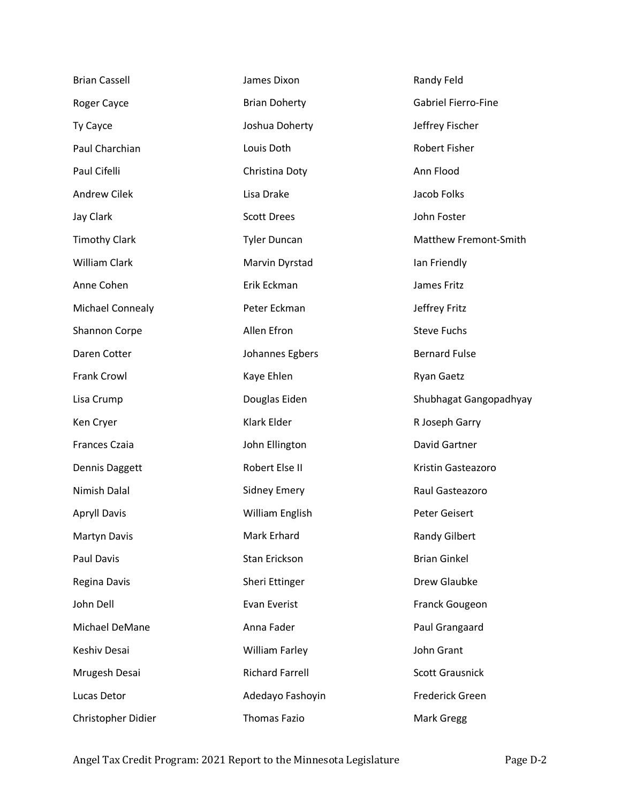| <b>Brian Cassell</b>    | James Dixon            | Randy Feld                 |
|-------------------------|------------------------|----------------------------|
| Roger Cayce             | <b>Brian Doherty</b>   | <b>Gabriel Fierro-Fine</b> |
| Ty Cayce                | Joshua Doherty         | Jeffrey Fischer            |
| Paul Charchian          | Louis Doth             | Robert Fisher              |
| Paul Cifelli            | Christina Doty         | Ann Flood                  |
| <b>Andrew Cilek</b>     | Lisa Drake             | Jacob Folks                |
| Jay Clark               | <b>Scott Drees</b>     | John Foster                |
| <b>Timothy Clark</b>    | <b>Tyler Duncan</b>    | Matthew Fremont-Smith      |
| <b>William Clark</b>    | Marvin Dyrstad         | Ian Friendly               |
| Anne Cohen              | Erik Eckman            | James Fritz                |
| <b>Michael Connealy</b> | Peter Eckman           | Jeffrey Fritz              |
| <b>Shannon Corpe</b>    | Allen Efron            | <b>Steve Fuchs</b>         |
| Daren Cotter            | Johannes Egbers        | <b>Bernard Fulse</b>       |
| <b>Frank Crowl</b>      | Kaye Ehlen             | <b>Ryan Gaetz</b>          |
| Lisa Crump              | Douglas Eiden          | Shubhagat Gangopadhyay     |
| Ken Cryer               | Klark Elder            | R Joseph Garry             |
| <b>Frances Czaia</b>    | John Ellington         | David Gartner              |
| Dennis Daggett          | Robert Else II         | Kristin Gasteazoro         |
| Nimish Dalal            | <b>Sidney Emery</b>    | Raul Gasteazoro            |
| <b>Apryll Davis</b>     | William English        | Peter Geisert              |
| Martyn Davis            | Mark Erhard            | <b>Randy Gilbert</b>       |
| Paul Davis              | Stan Erickson          | <b>Brian Ginkel</b>        |
| Regina Davis            | Sheri Ettinger         | Drew Glaubke               |
| John Dell               | Evan Everist           | <b>Franck Gougeon</b>      |
| Michael DeMane          | Anna Fader             | Paul Grangaard             |
| Keshiv Desai            | <b>William Farley</b>  | John Grant                 |
| Mrugesh Desai           | <b>Richard Farrell</b> | <b>Scott Grausnick</b>     |
| Lucas Detor             | Adedayo Fashoyin       | <b>Frederick Green</b>     |
| Christopher Didier      | <b>Thomas Fazio</b>    | Mark Gregg                 |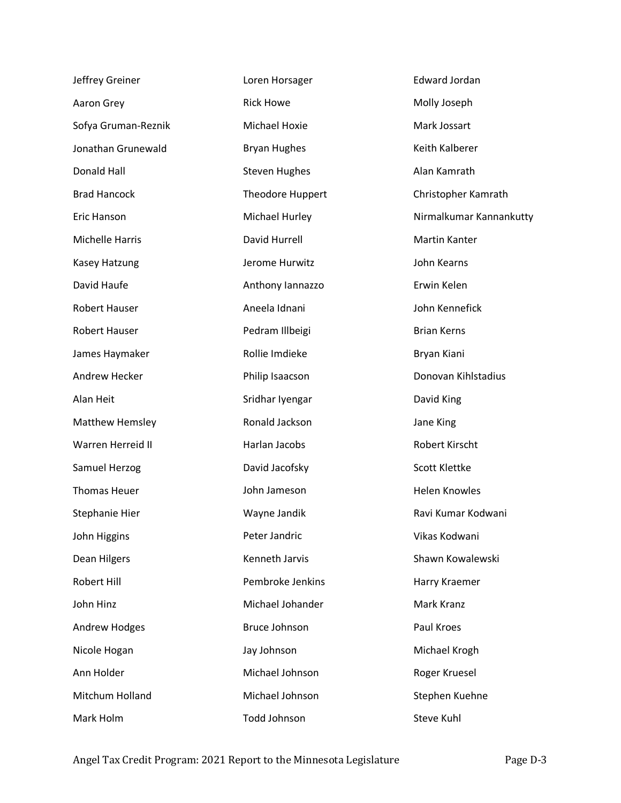| Jeffrey Greiner        | Loren Horsager       | <b>Edward Jordan</b>    |
|------------------------|----------------------|-------------------------|
| Aaron Grey             | <b>Rick Howe</b>     | Molly Joseph            |
| Sofya Gruman-Reznik    | Michael Hoxie        | Mark Jossart            |
| Jonathan Grunewald     | <b>Bryan Hughes</b>  | Keith Kalberer          |
| Donald Hall            | <b>Steven Hughes</b> | Alan Kamrath            |
| <b>Brad Hancock</b>    | Theodore Huppert     | Christopher Kamrath     |
| Eric Hanson            | Michael Hurley       | Nirmalkumar Kannankutty |
| <b>Michelle Harris</b> | David Hurrell        | Martin Kanter           |
| Kasey Hatzung          | Jerome Hurwitz       | John Kearns             |
| David Haufe            | Anthony lannazzo     | Erwin Kelen             |
| <b>Robert Hauser</b>   | Aneela Idnani        | John Kennefick          |
| <b>Robert Hauser</b>   | Pedram Illbeigi      | <b>Brian Kerns</b>      |
| James Haymaker         | Rollie Imdieke       | Bryan Kiani             |
| Andrew Hecker          | Philip Isaacson      | Donovan Kihlstadius     |
| Alan Heit              | Sridhar Iyengar      | David King              |
| <b>Matthew Hemsley</b> | Ronald Jackson       | Jane King               |
| Warren Herreid II      | Harlan Jacobs        | Robert Kirscht          |
| Samuel Herzog          | David Jacofsky       | Scott Klettke           |
| <b>Thomas Heuer</b>    | John Jameson         | <b>Helen Knowles</b>    |
| Stephanie Hier         | Wayne Jandik         | Ravi Kumar Kodwani      |
| John Higgins           | Peter Jandric        | Vikas Kodwani           |
| Dean Hilgers           | Kenneth Jarvis       | Shawn Kowalewski        |
| Robert Hill            | Pembroke Jenkins     | Harry Kraemer           |
| John Hinz              | Michael Johander     | Mark Kranz              |
| <b>Andrew Hodges</b>   | <b>Bruce Johnson</b> | Paul Kroes              |
| Nicole Hogan           | Jay Johnson          | Michael Krogh           |
| Ann Holder             | Michael Johnson      | Roger Kruesel           |
| Mitchum Holland        | Michael Johnson      | Stephen Kuehne          |
| Mark Holm              | Todd Johnson         | Steve Kuhl              |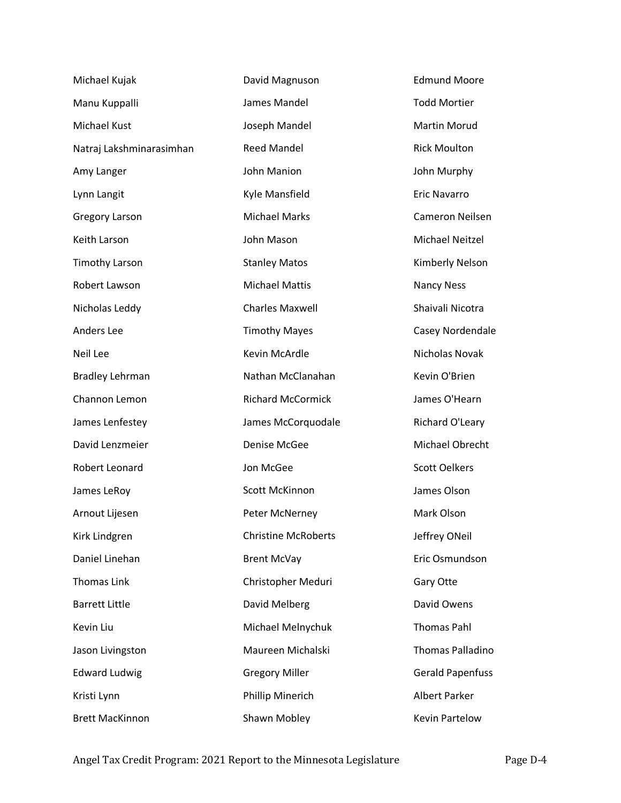| Michael Kujak            | David Magnuson             | <b>Edmund Moore</b>     |
|--------------------------|----------------------------|-------------------------|
| Manu Kuppalli            | James Mandel               | <b>Todd Mortier</b>     |
| Michael Kust             | Joseph Mandel              | <b>Martin Morud</b>     |
| Natraj Lakshminarasimhan | <b>Reed Mandel</b>         | <b>Rick Moulton</b>     |
| Amy Langer               | John Manion                | John Murphy             |
| Lynn Langit              | Kyle Mansfield             | <b>Eric Navarro</b>     |
| <b>Gregory Larson</b>    | <b>Michael Marks</b>       | Cameron Neilsen         |
| Keith Larson             | John Mason                 | Michael Neitzel         |
| <b>Timothy Larson</b>    | <b>Stanley Matos</b>       | Kimberly Nelson         |
| Robert Lawson            | <b>Michael Mattis</b>      | <b>Nancy Ness</b>       |
| Nicholas Leddy           | <b>Charles Maxwell</b>     | Shaivali Nicotra        |
| Anders Lee               | <b>Timothy Mayes</b>       | Casey Nordendale        |
| Neil Lee                 | Kevin McArdle              | Nicholas Novak          |
| <b>Bradley Lehrman</b>   | Nathan McClanahan          | Kevin O'Brien           |
| Channon Lemon            | <b>Richard McCormick</b>   | James O'Hearn           |
| James Lenfestey          | James McCorquodale         | Richard O'Leary         |
| David Lenzmeier          | <b>Denise McGee</b>        | Michael Obrecht         |
| Robert Leonard           | Jon McGee                  | <b>Scott Oelkers</b>    |
| James LeRoy              | Scott McKinnon             | James Olson             |
| Arnout Lijesen           | Peter McNerney             | Mark Olson              |
| Kirk Lindgren            | <b>Christine McRoberts</b> | Jeffrey ONeil           |
| Daniel Linehan           | <b>Brent McVay</b>         | Eric Osmundson          |
| <b>Thomas Link</b>       | Christopher Meduri         | Gary Otte               |
| <b>Barrett Little</b>    | David Melberg              | David Owens             |
| Kevin Liu                | Michael Melnychuk          | <b>Thomas Pahl</b>      |
| Jason Livingston         | Maureen Michalski          | <b>Thomas Palladino</b> |
| <b>Edward Ludwig</b>     | <b>Gregory Miller</b>      | <b>Gerald Papenfuss</b> |
| Kristi Lynn              | Phillip Minerich           | Albert Parker           |
| <b>Brett MacKinnon</b>   | Shawn Mobley               | <b>Kevin Partelow</b>   |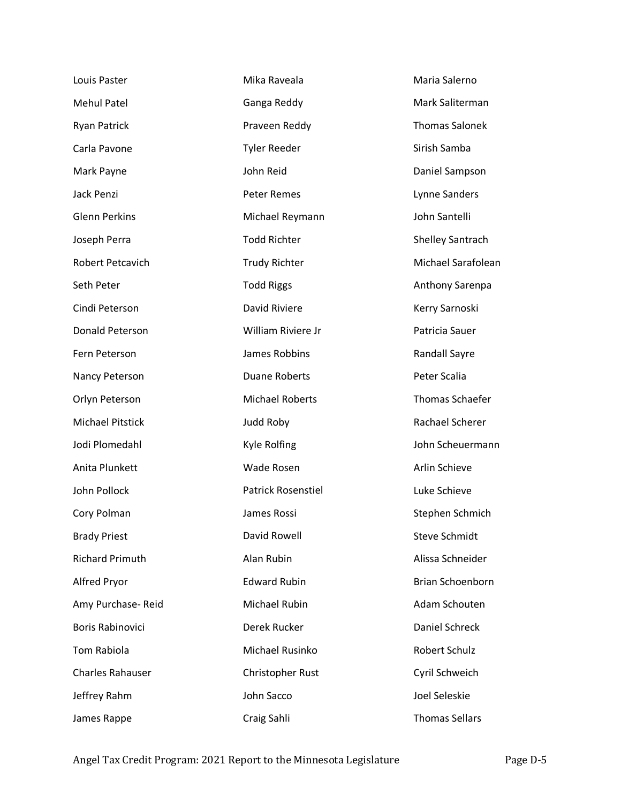| Louis Paster            | Mika Raveala              | Maria Salerno           |
|-------------------------|---------------------------|-------------------------|
| <b>Mehul Patel</b>      | Ganga Reddy               | Mark Saliterman         |
| <b>Ryan Patrick</b>     | Praveen Reddy             | <b>Thomas Salonek</b>   |
| Carla Pavone            | <b>Tyler Reeder</b>       | Sirish Samba            |
| Mark Payne              | John Reid                 | Daniel Sampson          |
| Jack Penzi              | <b>Peter Remes</b>        | Lynne Sanders           |
| <b>Glenn Perkins</b>    | Michael Reymann           | John Santelli           |
| Joseph Perra            | <b>Todd Richter</b>       | <b>Shelley Santrach</b> |
| Robert Petcavich        | <b>Trudy Richter</b>      | Michael Sarafolean      |
| Seth Peter              | <b>Todd Riggs</b>         | Anthony Sarenpa         |
| Cindi Peterson          | David Riviere             | Kerry Sarnoski          |
| Donald Peterson         | William Riviere Jr        | Patricia Sauer          |
| Fern Peterson           | James Robbins             | <b>Randall Sayre</b>    |
| Nancy Peterson          | <b>Duane Roberts</b>      | Peter Scalia            |
| Orlyn Peterson          | <b>Michael Roberts</b>    | Thomas Schaefer         |
| <b>Michael Pitstick</b> | Judd Roby                 | Rachael Scherer         |
| Jodi Plomedahl          | Kyle Rolfing              | John Scheuermann        |
| Anita Plunkett          | Wade Rosen                | Arlin Schieve           |
| John Pollock            | <b>Patrick Rosenstiel</b> | Luke Schieve            |
| Cory Polman             | James Rossi               | Stephen Schmich         |
| <b>Brady Priest</b>     | David Rowell              | <b>Steve Schmidt</b>    |
| <b>Richard Primuth</b>  | Alan Rubin                | Alissa Schneider        |
| Alfred Pryor            | <b>Edward Rubin</b>       | Brian Schoenborn        |
| Amy Purchase-Reid       | Michael Rubin             | Adam Schouten           |
| <b>Boris Rabinovici</b> | Derek Rucker              | Daniel Schreck          |
| <b>Tom Rabiola</b>      | Michael Rusinko           | <b>Robert Schulz</b>    |
| <b>Charles Rahauser</b> | <b>Christopher Rust</b>   | Cyril Schweich          |
| Jeffrey Rahm            | John Sacco                | Joel Seleskie           |
| James Rappe             | Craig Sahli               | <b>Thomas Sellars</b>   |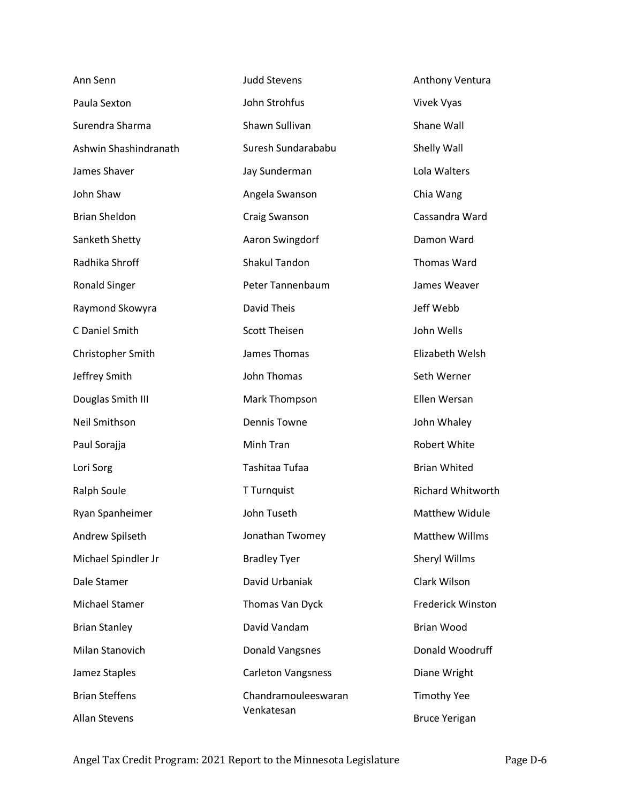| Ann Senn              | <b>Judd Stevens</b>       | Anthony Ventura       |
|-----------------------|---------------------------|-----------------------|
| Paula Sexton          | John Strohfus             | Vivek Vyas            |
| Surendra Sharma       | Shawn Sullivan            | Shane Wall            |
| Ashwin Shashindranath | Suresh Sundarababu        | Shelly Wall           |
| James Shaver          | Jay Sunderman             | Lola Walters          |
| John Shaw             | Angela Swanson            | Chia Wang             |
| <b>Brian Sheldon</b>  | <b>Craig Swanson</b>      | Cassandra Ward        |
| Sanketh Shetty        | Aaron Swingdorf           | Damon Ward            |
| Radhika Shroff        | <b>Shakul Tandon</b>      | Thomas Ward           |
| <b>Ronald Singer</b>  | Peter Tannenbaum          | James Weaver          |
| Raymond Skowyra       | David Theis               | Jeff Webb             |
| C Daniel Smith        | <b>Scott Theisen</b>      | John Wells            |
| Christopher Smith     | James Thomas              | Elizabeth Welsh       |
| Jeffrey Smith         | John Thomas               | Seth Werner           |
| Douglas Smith III     | Mark Thompson             | Ellen Wersan          |
| Neil Smithson         | <b>Dennis Towne</b>       | John Whaley           |
| Paul Sorajja          | Minh Tran                 | Robert White          |
| Lori Sorg             | Tashitaa Tufaa            | <b>Brian Whited</b>   |
| Ralph Soule           | T Turnquist               | Richard Whitworth     |
| Ryan Spanheimer       | John Tuseth               | <b>Matthew Widule</b> |
| Andrew Spilseth       | Jonathan Twomey           | <b>Matthew Willms</b> |
| Michael Spindler Jr   | <b>Bradley Tyer</b>       | <b>Sheryl Willms</b>  |
| Dale Stamer           | David Urbaniak            | Clark Wilson          |
| Michael Stamer        | Thomas Van Dyck           | Frederick Winston     |
| <b>Brian Stanley</b>  | David Vandam              | <b>Brian Wood</b>     |
| Milan Stanovich       | <b>Donald Vangsnes</b>    | Donald Woodruff       |
| Jamez Staples         | <b>Carleton Vangsness</b> | Diane Wright          |
| <b>Brian Steffens</b> | Chandramouleeswaran       | <b>Timothy Yee</b>    |
| <b>Allan Stevens</b>  | Venkatesan                | <b>Bruce Yerigan</b>  |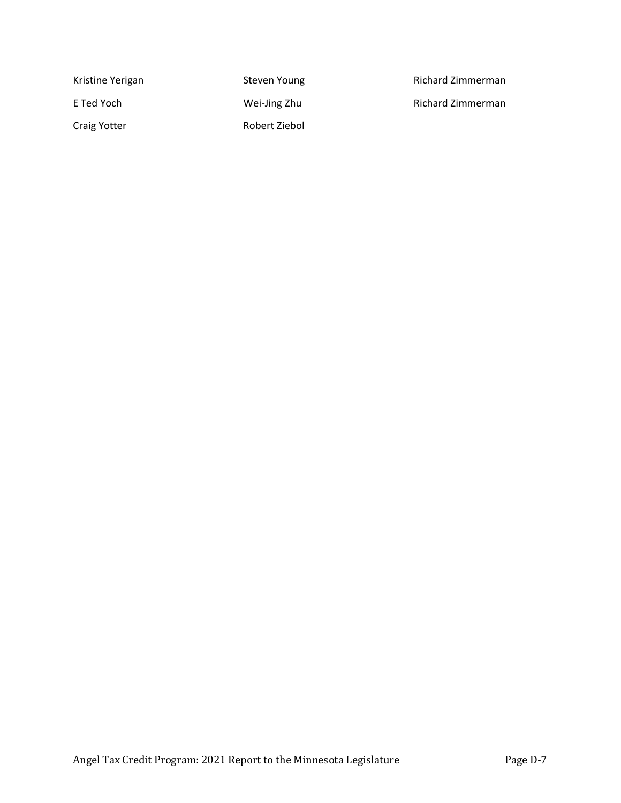| Kristine Yerigan | Steven Young  |
|------------------|---------------|
| E Ted Yoch       | Wei-Jing Zhu  |
| Craig Yotter     | Robert Ziebol |

Richard Zimmerman

Richard Zimmerman